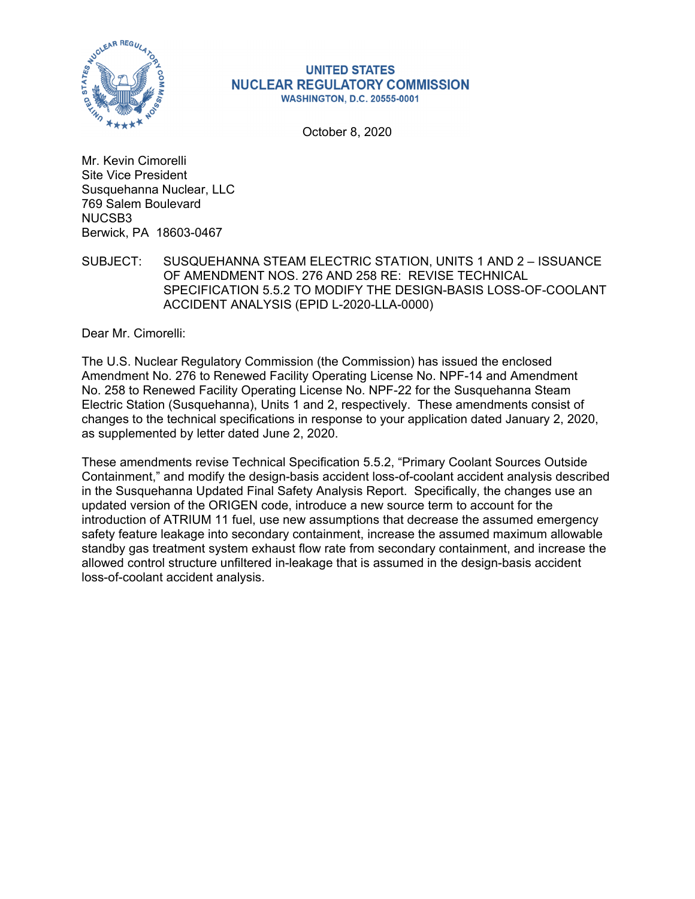

#### **UNITED STATES NUCLEAR REGULATORY COMMISSION WASHINGTON, D.C. 20555-0001**

October 8, 2020

Mr. Kevin Cimorelli Site Vice President Susquehanna Nuclear, LLC 769 Salem Boulevard NUCSB3 Berwick, PA 18603-0467

SUBJECT: SUSQUEHANNA STEAM ELECTRIC STATION, UNITS 1 AND 2 – ISSUANCE OF AMENDMENT NOS. 276 AND 258 RE: REVISE TECHNICAL SPECIFICATION 5.5.2 TO MODIFY THE DESIGN-BASIS LOSS-OF-COOLANT ACCIDENT ANALYSIS (EPID L-2020-LLA-0000)

Dear Mr. Cimorelli:

The U.S. Nuclear Regulatory Commission (the Commission) has issued the enclosed Amendment No. 276 to Renewed Facility Operating License No. NPF-14 and Amendment No. 258 to Renewed Facility Operating License No. NPF-22 for the Susquehanna Steam Electric Station (Susquehanna), Units 1 and 2, respectively. These amendments consist of changes to the technical specifications in response to your application dated January 2, 2020, as supplemented by letter dated June 2, 2020.

These amendments revise Technical Specification 5.5.2, "Primary Coolant Sources Outside Containment," and modify the design-basis accident loss-of-coolant accident analysis described in the Susquehanna Updated Final Safety Analysis Report. Specifically, the changes use an updated version of the ORIGEN code, introduce a new source term to account for the introduction of ATRIUM 11 fuel, use new assumptions that decrease the assumed emergency safety feature leakage into secondary containment, increase the assumed maximum allowable standby gas treatment system exhaust flow rate from secondary containment, and increase the allowed control structure unfiltered in-leakage that is assumed in the design-basis accident loss-of-coolant accident analysis.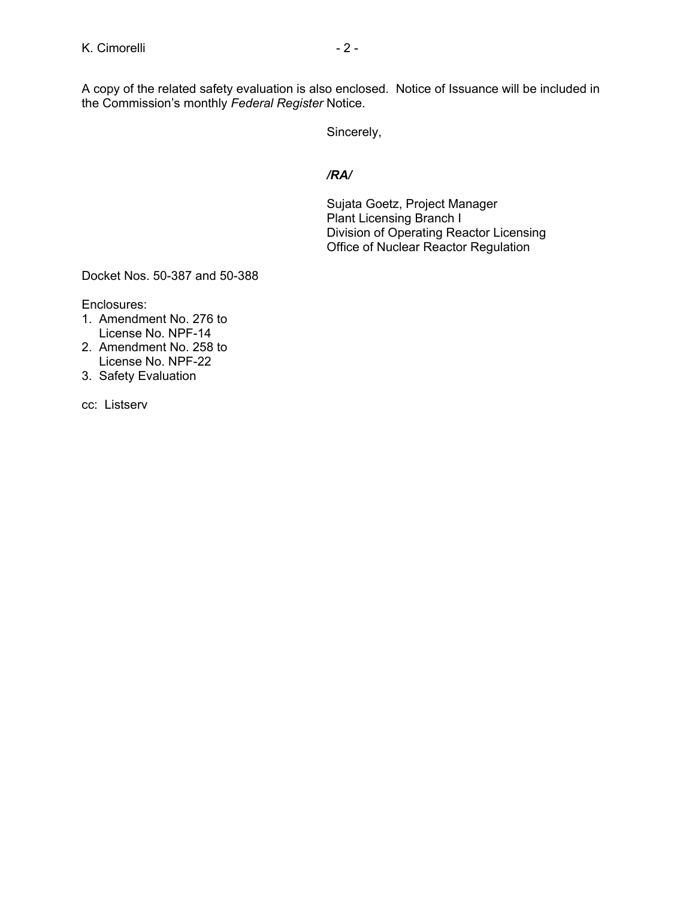Sincerely,

#### */RA/*

Sujata Goetz, Project Manager Plant Licensing Branch I Division of Operating Reactor Licensing Office of Nuclear Reactor Regulation

Docket Nos. 50-387 and 50-388

Enclosures:

- 1. Amendment No. 276 to License No. NPF-14
- 2. Amendment No. 258 to License No. NPF-22
- 3. Safety Evaluation

cc: Listserv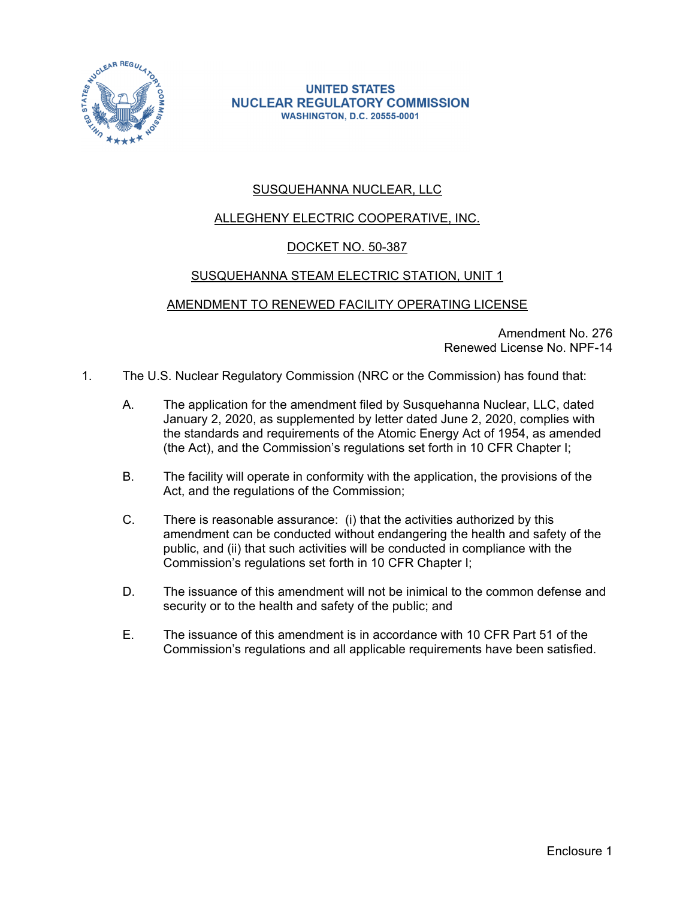

**UNITED STATES NUCLEAR REGULATORY COMMISSION WASHINGTON, D.C. 20555-0001** 

## SUSQUEHANNA NUCLEAR, LLC

## ALLEGHENY ELECTRIC COOPERATIVE, INC.

## DOCKET NO. 50-387

## SUSQUEHANNA STEAM ELECTRIC STATION, UNIT 1

## AMENDMENT TO RENEWED FACILITY OPERATING LICENSE

Amendment No. 276 Renewed License No. NPF-14

- 1. The U.S. Nuclear Regulatory Commission (NRC or the Commission) has found that:
	- A. The application for the amendment filed by Susquehanna Nuclear, LLC, dated January 2, 2020, as supplemented by letter dated June 2, 2020, complies with the standards and requirements of the Atomic Energy Act of 1954, as amended (the Act), and the Commission's regulations set forth in 10 CFR Chapter I;
	- B. The facility will operate in conformity with the application, the provisions of the Act, and the regulations of the Commission;
	- C. There is reasonable assurance: (i) that the activities authorized by this amendment can be conducted without endangering the health and safety of the public, and (ii) that such activities will be conducted in compliance with the Commission's regulations set forth in 10 CFR Chapter I;
	- D. The issuance of this amendment will not be inimical to the common defense and security or to the health and safety of the public; and
	- E. The issuance of this amendment is in accordance with 10 CFR Part 51 of the Commission's regulations and all applicable requirements have been satisfied.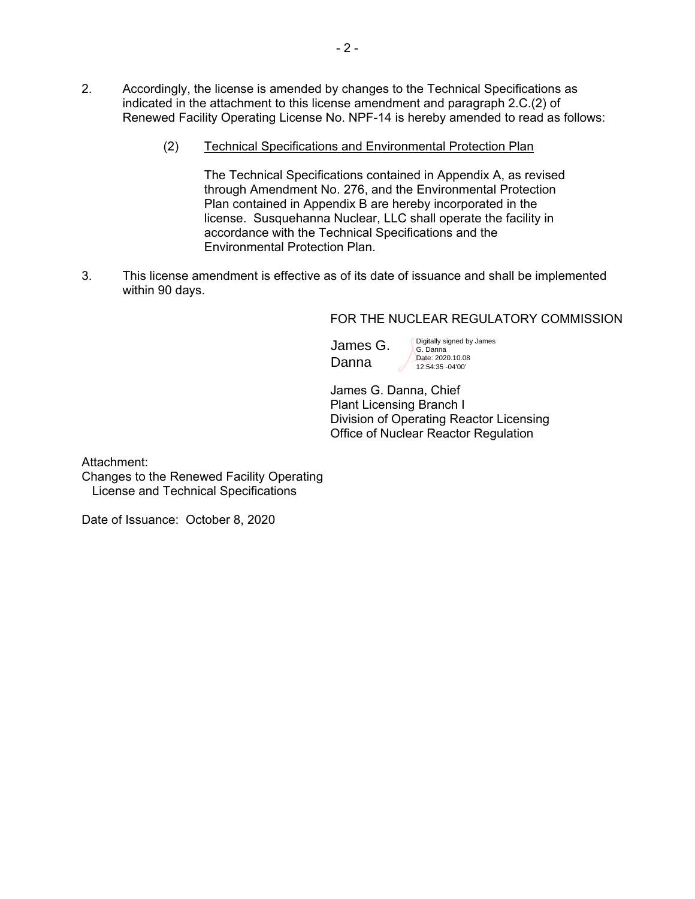- 2. Accordingly, the license is amended by changes to the Technical Specifications as indicated in the attachment to this license amendment and paragraph 2.C.(2) of Renewed Facility Operating License No. NPF-14 is hereby amended to read as follows:
	- (2) Technical Specifications and Environmental Protection Plan

The Technical Specifications contained in Appendix A, as revised through Amendment No. 276, and the Environmental Protection Plan contained in Appendix B are hereby incorporated in the license. Susquehanna Nuclear, LLC shall operate the facility in accordance with the Technical Specifications and the Environmental Protection Plan.

3. This license amendment is effective as of its date of issuance and shall be implemented within 90 days.

#### FOR THE NUCLEAR REGULATORY COMMISSION

James G. Danna

Digitally signed by James G. Danna Date: 2020.10.08 12:54:35 -04'00'

 James G. Danna, Chief Plant Licensing Branch I Division of Operating Reactor Licensing Office of Nuclear Reactor Regulation

Attachment:

Changes to the Renewed Facility Operating License and Technical Specifications

Date of Issuance: October 8, 2020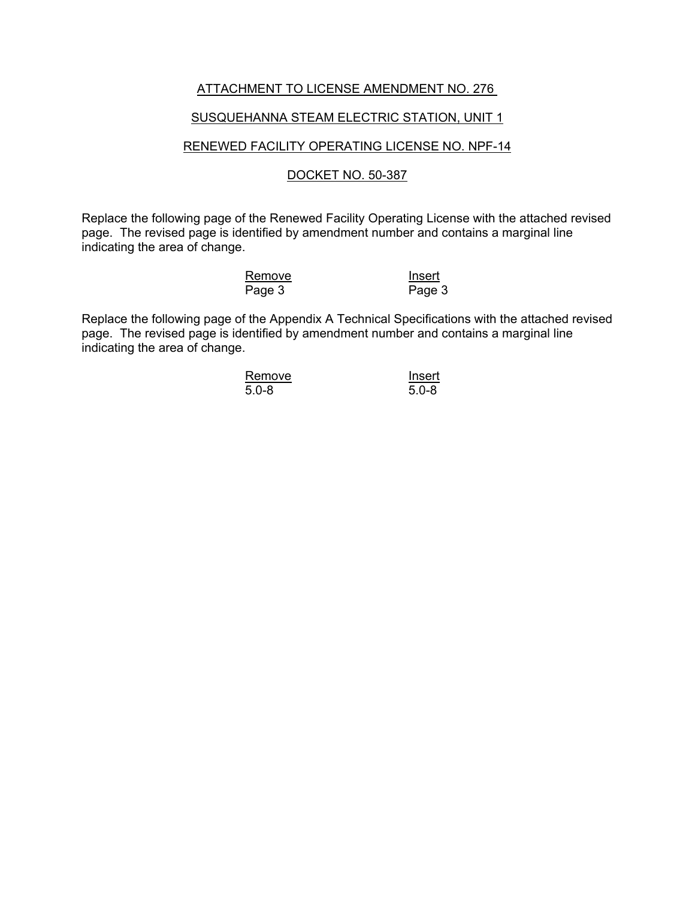#### ATTACHMENT TO LICENSE AMENDMENT NO. 276

#### SUSQUEHANNA STEAM ELECTRIC STATION, UNIT 1

#### RENEWED FACILITY OPERATING LICENSE NO. NPF-14

#### DOCKET NO. 50-387

Replace the following page of the Renewed Facility Operating License with the attached revised page. The revised page is identified by amendment number and contains a marginal line indicating the area of change.

| Remove | Insert |
|--------|--------|
| Page 3 | Page:  |

 $Page$  3

Replace the following page of the Appendix A Technical Specifications with the attached revised page. The revised page is identified by amendment number and contains a marginal line indicating the area of change.

| Remove    | Insert    |  |
|-----------|-----------|--|
| $5.0 - 8$ | $5.0 - 8$ |  |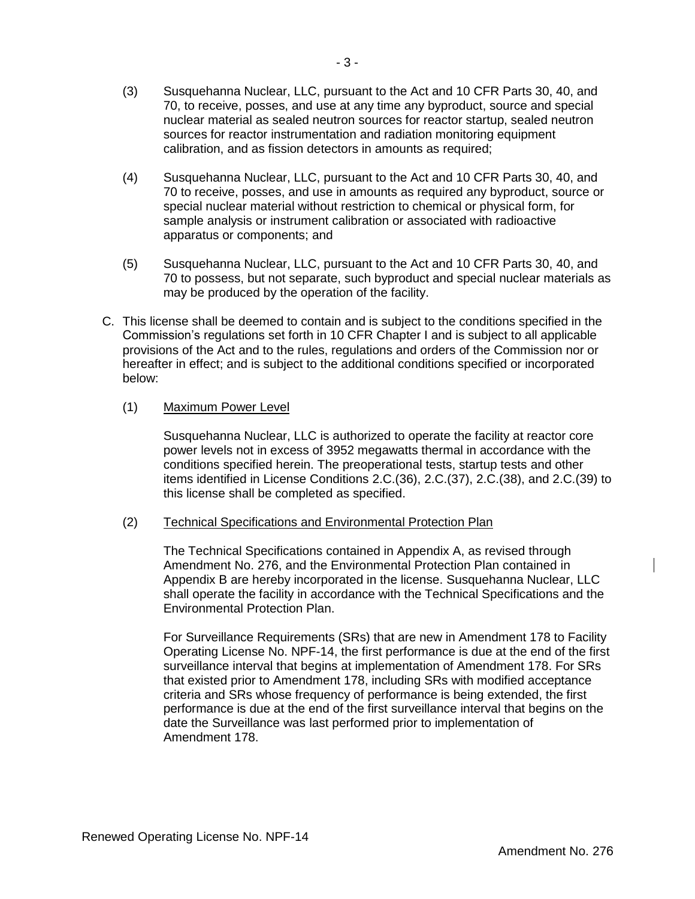- (4) Susquehanna Nuclear, LLC, pursuant to the Act and 10 CFR Parts 30, 40, and 70 to receive, posses, and use in amounts as required any byproduct, source or special nuclear material without restriction to chemical or physical form, for sample analysis or instrument calibration or associated with radioactive apparatus or components; and
- (5) Susquehanna Nuclear, LLC, pursuant to the Act and 10 CFR Parts 30, 40, and 70 to possess, but not separate, such byproduct and special nuclear materials as may be produced by the operation of the facility.
- C. This license shall be deemed to contain and is subject to the conditions specified in the Commission's regulations set forth in 10 CFR Chapter I and is subject to all applicable provisions of the Act and to the rules, regulations and orders of the Commission nor or hereafter in effect; and is subject to the additional conditions specified or incorporated below:

## (1) Maximum Power Level

Susquehanna Nuclear, LLC is authorized to operate the facility at reactor core power levels not in excess of 3952 megawatts thermal in accordance with the conditions specified herein. The preoperational tests, startup tests and other items identified in License Conditions 2.C.(36), 2.C.(37), 2.C.(38), and 2.C.(39) to this license shall be completed as specified.

#### (2) Technical Specifications and Environmental Protection Plan

The Technical Specifications contained in Appendix A, as revised through Amendment No. 276, and the Environmental Protection Plan contained in Appendix B are hereby incorporated in the license. Susquehanna Nuclear, LLC shall operate the facility in accordance with the Technical Specifications and the Environmental Protection Plan.

For Surveillance Requirements (SRs) that are new in Amendment 178 to Facility Operating License No. NPF-14, the first performance is due at the end of the first surveillance interval that begins at implementation of Amendment 178. For SRs that existed prior to Amendment 178, including SRs with modified acceptance criteria and SRs whose frequency of performance is being extended, the first performance is due at the end of the first surveillance interval that begins on the date the Surveillance was last performed prior to implementation of Amendment 178.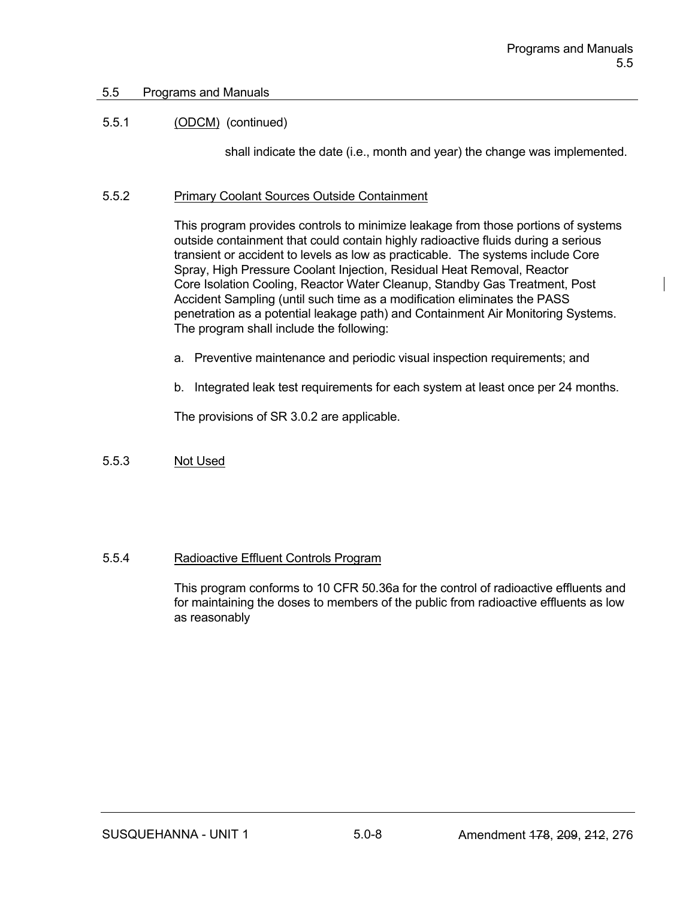## 5.5 Programs and Manuals

## 5.5.1 (ODCM) (continued)

shall indicate the date (i.e., month and year) the change was implemented.

## 5.5.2 Primary Coolant Sources Outside Containment

This program provides controls to minimize leakage from those portions of systems outside containment that could contain highly radioactive fluids during a serious transient or accident to levels as low as practicable. The systems include Core Spray, High Pressure Coolant Injection, Residual Heat Removal, Reactor Core Isolation Cooling, Reactor Water Cleanup, Standby Gas Treatment, Post Accident Sampling (until such time as a modification eliminates the PASS penetration as a potential leakage path) and Containment Air Monitoring Systems. The program shall include the following:

- a. Preventive maintenance and periodic visual inspection requirements; and
- b. Integrated leak test requirements for each system at least once per 24 months.

The provisions of SR 3.0.2 are applicable.

## 5.5.3 Not Used

## 5.5.4 Radioactive Effluent Controls Program

This program conforms to 10 CFR 50.36a for the control of radioactive effluents and for maintaining the doses to members of the public from radioactive effluents as low as reasonably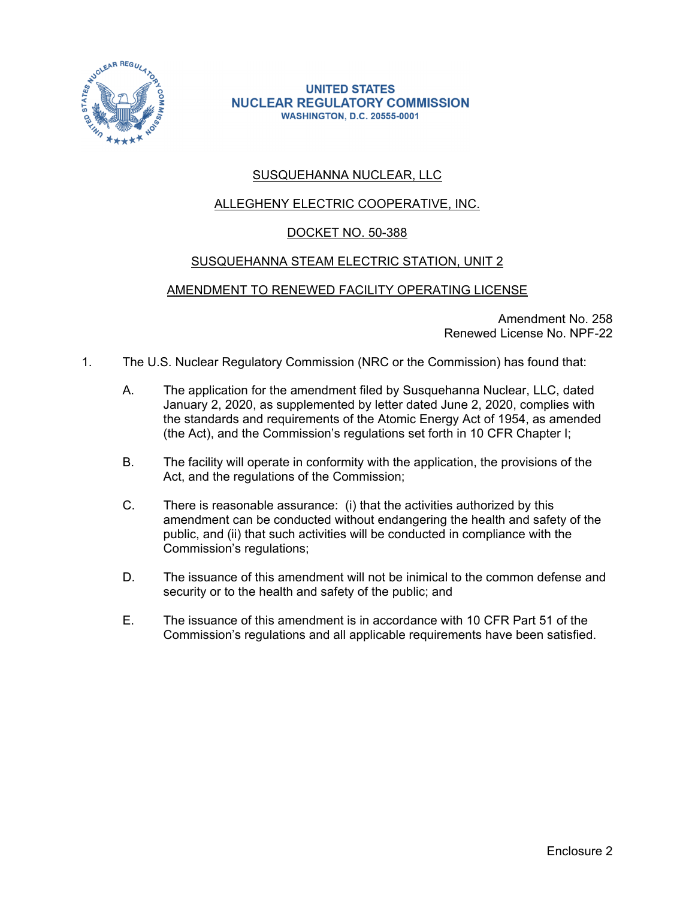

#### **UNITED STATES NUCLEAR REGULATORY COMMISSION WASHINGTON, D.C. 20555-0001**

## SUSQUEHANNA NUCLEAR, LLC

## ALLEGHENY ELECTRIC COOPERATIVE, INC.

## DOCKET NO. 50-388

#### SUSQUEHANNA STEAM ELECTRIC STATION, UNIT 2

#### AMENDMENT TO RENEWED FACILITY OPERATING LICENSE

Amendment No. 258 Renewed License No. NPF-22

- 1. The U.S. Nuclear Regulatory Commission (NRC or the Commission) has found that:
	- A. The application for the amendment filed by Susquehanna Nuclear, LLC, dated January 2, 2020, as supplemented by letter dated June 2, 2020, complies with the standards and requirements of the Atomic Energy Act of 1954, as amended (the Act), and the Commission's regulations set forth in 10 CFR Chapter I;
	- B. The facility will operate in conformity with the application, the provisions of the Act, and the regulations of the Commission;
	- C. There is reasonable assurance: (i) that the activities authorized by this amendment can be conducted without endangering the health and safety of the public, and (ii) that such activities will be conducted in compliance with the Commission's regulations;
	- D. The issuance of this amendment will not be inimical to the common defense and security or to the health and safety of the public; and
	- E. The issuance of this amendment is in accordance with 10 CFR Part 51 of the Commission's regulations and all applicable requirements have been satisfied.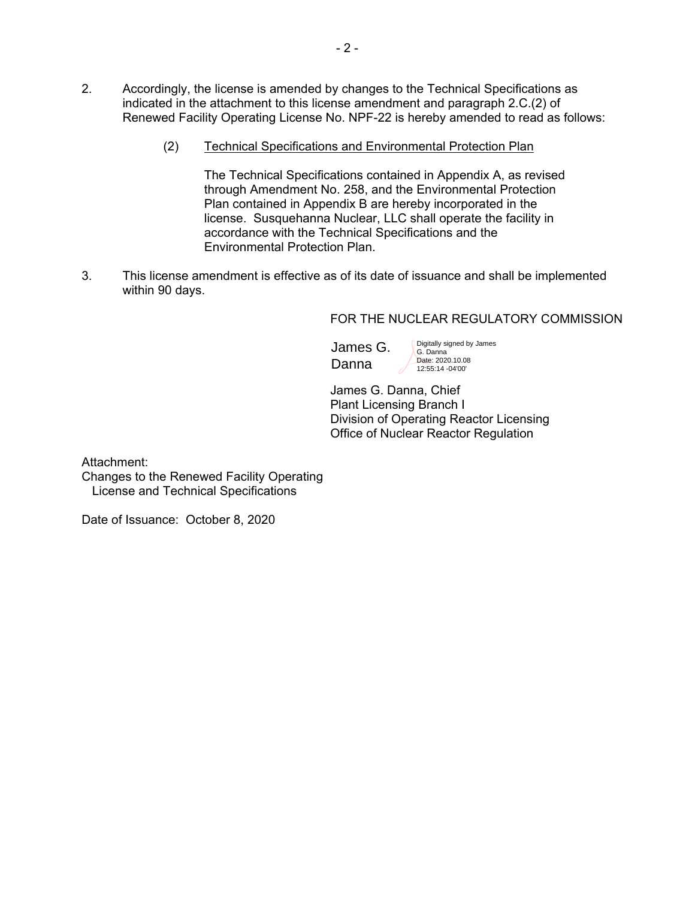- 2. Accordingly, the license is amended by changes to the Technical Specifications as indicated in the attachment to this license amendment and paragraph 2.C.(2) of Renewed Facility Operating License No. NPF-22 is hereby amended to read as follows:
	- (2) Technical Specifications and Environmental Protection Plan

The Technical Specifications contained in Appendix A, as revised through Amendment No. 258, and the Environmental Protection Plan contained in Appendix B are hereby incorporated in the license. Susquehanna Nuclear, LLC shall operate the facility in accordance with the Technical Specifications and the Environmental Protection Plan.

3. This license amendment is effective as of its date of issuance and shall be implemented within 90 days.

#### FOR THE NUCLEAR REGULATORY COMMISSION

James G. Danna

Digitally signed by James G. Danna Date: 2020.10.08 12:55:14 -04'00'

 James G. Danna, Chief Plant Licensing Branch I Division of Operating Reactor Licensing Office of Nuclear Reactor Regulation

Attachment:

Changes to the Renewed Facility Operating License and Technical Specifications

Date of Issuance: October 8, 2020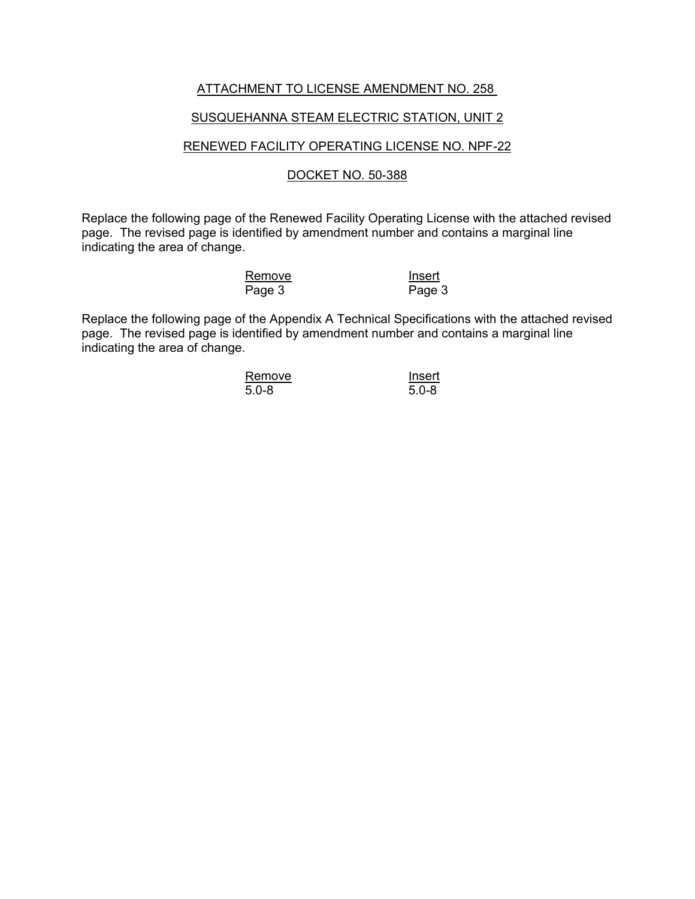#### ATTACHMENT TO LICENSE AMENDMENT NO. 258

#### SUSQUEHANNA STEAM ELECTRIC STATION, UNIT 2

#### RENEWED FACILITY OPERATING LICENSE NO. NPF-22

#### DOCKET NO. 50-388

Replace the following page of the Renewed Facility Operating License with the attached revised page. The revised page is identified by amendment number and contains a marginal line indicating the area of change.

| Remove | Insert |
|--------|--------|
| Page 3 | Page:  |

 $Page$  3

Replace the following page of the Appendix A Technical Specifications with the attached revised page. The revised page is identified by amendment number and contains a marginal line indicating the area of change.

| Remove    | Insert    |
|-----------|-----------|
| $5.0 - 8$ | $5.0 - 8$ |

 $5.0 - 8$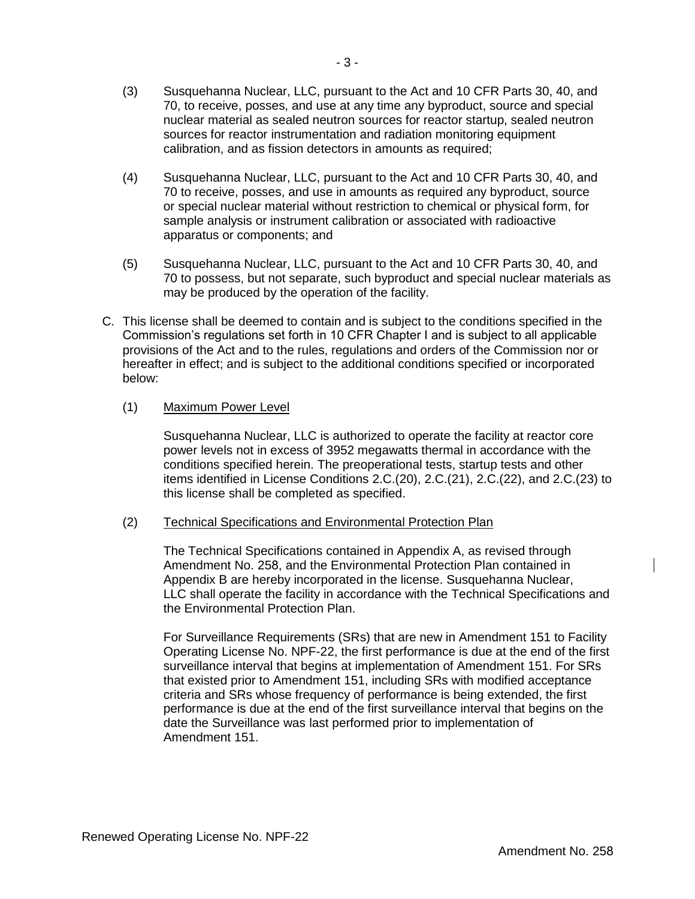- (4) Susquehanna Nuclear, LLC, pursuant to the Act and 10 CFR Parts 30, 40, and 70 to receive, posses, and use in amounts as required any byproduct, source or special nuclear material without restriction to chemical or physical form, for sample analysis or instrument calibration or associated with radioactive apparatus or components; and
- (5) Susquehanna Nuclear, LLC, pursuant to the Act and 10 CFR Parts 30, 40, and 70 to possess, but not separate, such byproduct and special nuclear materials as may be produced by the operation of the facility.
- C. This license shall be deemed to contain and is subject to the conditions specified in the Commission's regulations set forth in 10 CFR Chapter I and is subject to all applicable provisions of the Act and to the rules, regulations and orders of the Commission nor or hereafter in effect; and is subject to the additional conditions specified or incorporated below:

## (1) Maximum Power Level

Susquehanna Nuclear, LLC is authorized to operate the facility at reactor core power levels not in excess of 3952 megawatts thermal in accordance with the conditions specified herein. The preoperational tests, startup tests and other items identified in License Conditions 2.C.(20), 2.C.(21), 2.C.(22), and 2.C.(23) to this license shall be completed as specified.

#### (2) Technical Specifications and Environmental Protection Plan

The Technical Specifications contained in Appendix A, as revised through Amendment No. 258, and the Environmental Protection Plan contained in Appendix B are hereby incorporated in the license. Susquehanna Nuclear, LLC shall operate the facility in accordance with the Technical Specifications and the Environmental Protection Plan.

For Surveillance Requirements (SRs) that are new in Amendment 151 to Facility Operating License No. NPF-22, the first performance is due at the end of the first surveillance interval that begins at implementation of Amendment 151. For SRs that existed prior to Amendment 151, including SRs with modified acceptance criteria and SRs whose frequency of performance is being extended, the first performance is due at the end of the first surveillance interval that begins on the date the Surveillance was last performed prior to implementation of Amendment 151.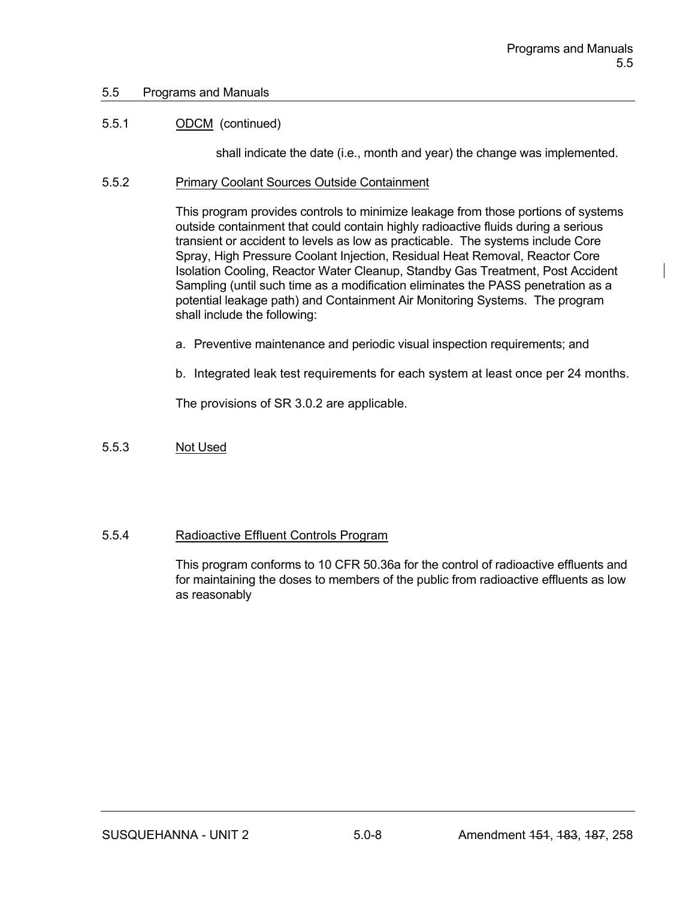#### 5.5 Programs and Manuals

#### 5.5.1 ODCM (continued)

shall indicate the date (i.e., month and year) the change was implemented.

#### 5.5.2 Primary Coolant Sources Outside Containment

This program provides controls to minimize leakage from those portions of systems outside containment that could contain highly radioactive fluids during a serious transient or accident to levels as low as practicable. The systems include Core Spray, High Pressure Coolant Injection, Residual Heat Removal, Reactor Core Isolation Cooling, Reactor Water Cleanup, Standby Gas Treatment, Post Accident Sampling (until such time as a modification eliminates the PASS penetration as a potential leakage path) and Containment Air Monitoring Systems. The program shall include the following:

- a. Preventive maintenance and periodic visual inspection requirements; and
- b. Integrated leak test requirements for each system at least once per 24 months.

The provisions of SR 3.0.2 are applicable.

#### 5.5.3 Not Used

#### 5.5.4 Radioactive Effluent Controls Program

This program conforms to 10 CFR 50.36a for the control of radioactive effluents and for maintaining the doses to members of the public from radioactive effluents as low as reasonably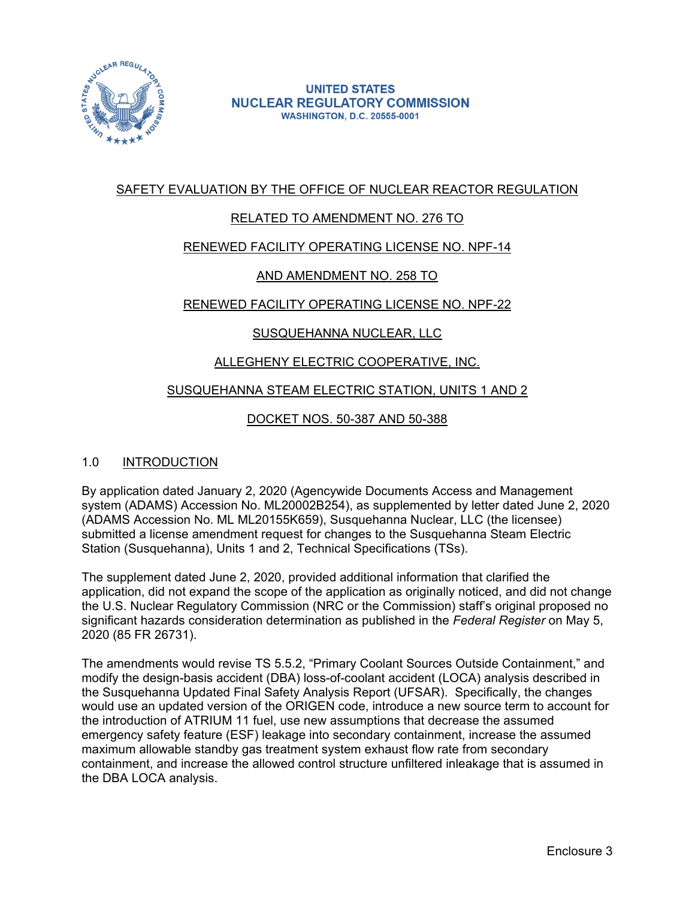

## SAFETY EVALUATION BY THE OFFICE OF NUCLEAR REACTOR REGULATION

## RELATED TO AMENDMENT NO. 276 TO

## RENEWED FACILITY OPERATING LICENSE NO. NPF-14

## AND AMENDMENT NO. 258 TO

## RENEWED FACILITY OPERATING LICENSE NO. NPF-22

## SUSQUEHANNA NUCLEAR, LLC

## ALLEGHENY ELECTRIC COOPERATIVE, INC.

#### SUSQUEHANNA STEAM ELECTRIC STATION, UNITS 1 AND 2

#### DOCKET NOS. 50-387 AND 50-388

#### 1.0 INTRODUCTION

By application dated January 2, 2020 (Agencywide Documents Access and Management system (ADAMS) Accession No. ML20002B254), as supplemented by letter dated June 2, 2020 (ADAMS Accession No. ML ML20155K659), Susquehanna Nuclear, LLC (the licensee) submitted a license amendment request for changes to the Susquehanna Steam Electric Station (Susquehanna), Units 1 and 2, Technical Specifications (TSs).

The supplement dated June 2, 2020, provided additional information that clarified the application, did not expand the scope of the application as originally noticed, and did not change the U.S. Nuclear Regulatory Commission (NRC or the Commission) staff's original proposed no significant hazards consideration determination as published in the *Federal Register* on May 5, 2020 (85 FR 26731).

The amendments would revise TS 5.5.2, "Primary Coolant Sources Outside Containment," and modify the design-basis accident (DBA) loss-of-coolant accident (LOCA) analysis described in the Susquehanna Updated Final Safety Analysis Report (UFSAR). Specifically, the changes would use an updated version of the ORIGEN code, introduce a new source term to account for the introduction of ATRIUM 11 fuel, use new assumptions that decrease the assumed emergency safety feature (ESF) leakage into secondary containment, increase the assumed maximum allowable standby gas treatment system exhaust flow rate from secondary containment, and increase the allowed control structure unfiltered inleakage that is assumed in the DBA LOCA analysis.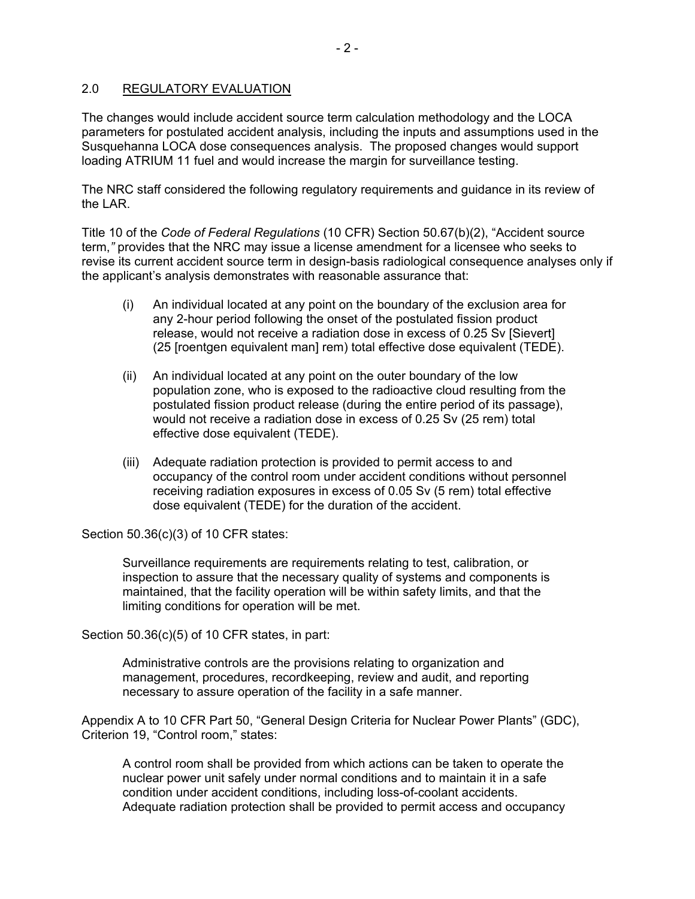## 2.0 REGULATORY EVALUATION

The changes would include accident source term calculation methodology and the LOCA parameters for postulated accident analysis, including the inputs and assumptions used in the Susquehanna LOCA dose consequences analysis. The proposed changes would support loading ATRIUM 11 fuel and would increase the margin for surveillance testing.

The NRC staff considered the following regulatory requirements and guidance in its review of the LAR.

Title 10 of the *Code of Federal Regulations* (10 CFR) Section 50.67(b)(2), "Accident source term,*"* provides that the NRC may issue a license amendment for a licensee who seeks to revise its current accident source term in design-basis radiological consequence analyses only if the applicant's analysis demonstrates with reasonable assurance that:

- (i) An individual located at any point on the boundary of the exclusion area for any 2-hour period following the onset of the postulated fission product release, would not receive a radiation dose in excess of 0.25 Sv [Sievert] (25 [roentgen equivalent man] rem) total effective dose equivalent (TEDE).
- (ii) An individual located at any point on the outer boundary of the low population zone, who is exposed to the radioactive cloud resulting from the postulated fission product release (during the entire period of its passage), would not receive a radiation dose in excess of 0.25 Sv (25 rem) total effective dose equivalent (TEDE).
- (iii) Adequate radiation protection is provided to permit access to and occupancy of the control room under accident conditions without personnel receiving radiation exposures in excess of 0.05 Sv (5 rem) total effective dose equivalent (TEDE) for the duration of the accident.

Section 50.36(c)(3) of 10 CFR states:

Surveillance requirements are requirements relating to test, calibration, or inspection to assure that the necessary quality of systems and components is maintained, that the facility operation will be within safety limits, and that the limiting conditions for operation will be met.

Section 50.36(c)(5) of 10 CFR states, in part:

Administrative controls are the provisions relating to organization and management, procedures, recordkeeping, review and audit, and reporting necessary to assure operation of the facility in a safe manner.

Appendix A to 10 CFR Part 50, "General Design Criteria for Nuclear Power Plants" (GDC), Criterion 19, "Control room," states:

A control room shall be provided from which actions can be taken to operate the nuclear power unit safely under normal conditions and to maintain it in a safe condition under accident conditions, including loss-of-coolant accidents. Adequate radiation protection shall be provided to permit access and occupancy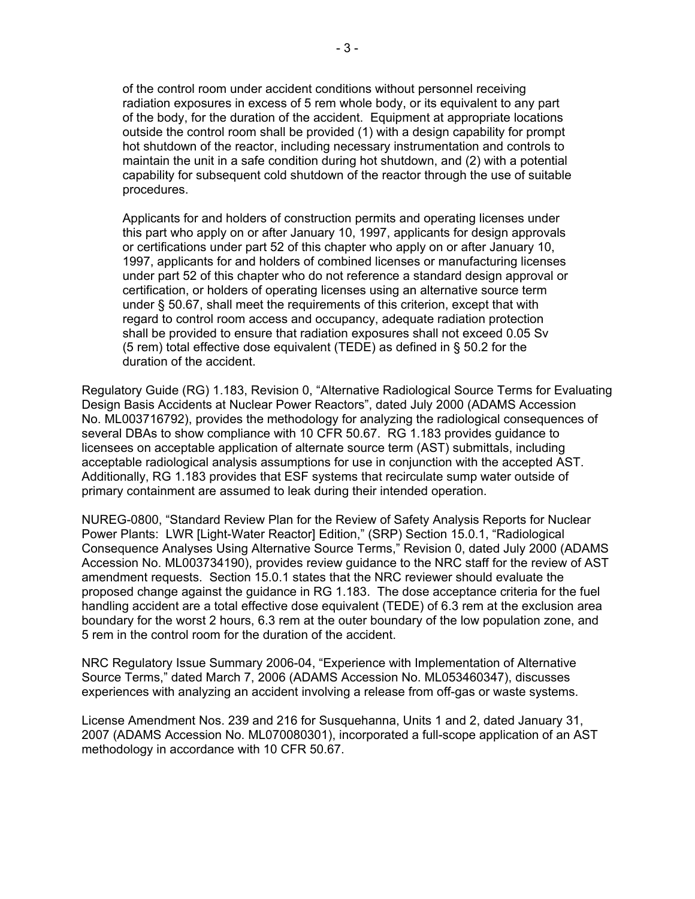of the control room under accident conditions without personnel receiving radiation exposures in excess of 5 rem whole body, or its equivalent to any part of the body, for the duration of the accident. Equipment at appropriate locations outside the control room shall be provided (1) with a design capability for prompt hot shutdown of the reactor, including necessary instrumentation and controls to maintain the unit in a safe condition during hot shutdown, and (2) with a potential capability for subsequent cold shutdown of the reactor through the use of suitable procedures.

Applicants for and holders of construction permits and operating licenses under this part who apply on or after January 10, 1997, applicants for design approvals or certifications under part 52 of this chapter who apply on or after January 10, 1997, applicants for and holders of combined licenses or manufacturing licenses under part 52 of this chapter who do not reference a standard design approval or certification, or holders of operating licenses using an alternative source term under § 50.67, shall meet the requirements of this criterion, except that with regard to control room access and occupancy, adequate radiation protection shall be provided to ensure that radiation exposures shall not exceed 0.05 Sv (5 rem) total effective dose equivalent (TEDE) as defined in § 50.2 for the duration of the accident.

Regulatory Guide (RG) 1.183, Revision 0, "Alternative Radiological Source Terms for Evaluating Design Basis Accidents at Nuclear Power Reactors", dated July 2000 (ADAMS Accession No. ML003716792), provides the methodology for analyzing the radiological consequences of several DBAs to show compliance with 10 CFR 50.67. RG 1.183 provides guidance to licensees on acceptable application of alternate source term (AST) submittals, including acceptable radiological analysis assumptions for use in conjunction with the accepted AST. Additionally, RG 1.183 provides that ESF systems that recirculate sump water outside of primary containment are assumed to leak during their intended operation.

NUREG-0800, "Standard Review Plan for the Review of Safety Analysis Reports for Nuclear Power Plants: LWR [Light-Water Reactor] Edition," (SRP) Section 15.0.1, "Radiological Consequence Analyses Using Alternative Source Terms," Revision 0, dated July 2000 (ADAMS Accession No. ML003734190), provides review guidance to the NRC staff for the review of AST amendment requests. Section 15.0.1 states that the NRC reviewer should evaluate the proposed change against the guidance in RG 1.183. The dose acceptance criteria for the fuel handling accident are a total effective dose equivalent (TEDE) of 6.3 rem at the exclusion area boundary for the worst 2 hours, 6.3 rem at the outer boundary of the low population zone, and 5 rem in the control room for the duration of the accident.

NRC Regulatory Issue Summary 2006-04, "Experience with Implementation of Alternative Source Terms," dated March 7, 2006 (ADAMS Accession No. ML053460347), discusses experiences with analyzing an accident involving a release from off-gas or waste systems.

License Amendment Nos. 239 and 216 for Susquehanna, Units 1 and 2, dated January 31, 2007 (ADAMS Accession No. ML070080301), incorporated a full-scope application of an AST methodology in accordance with 10 CFR 50.67.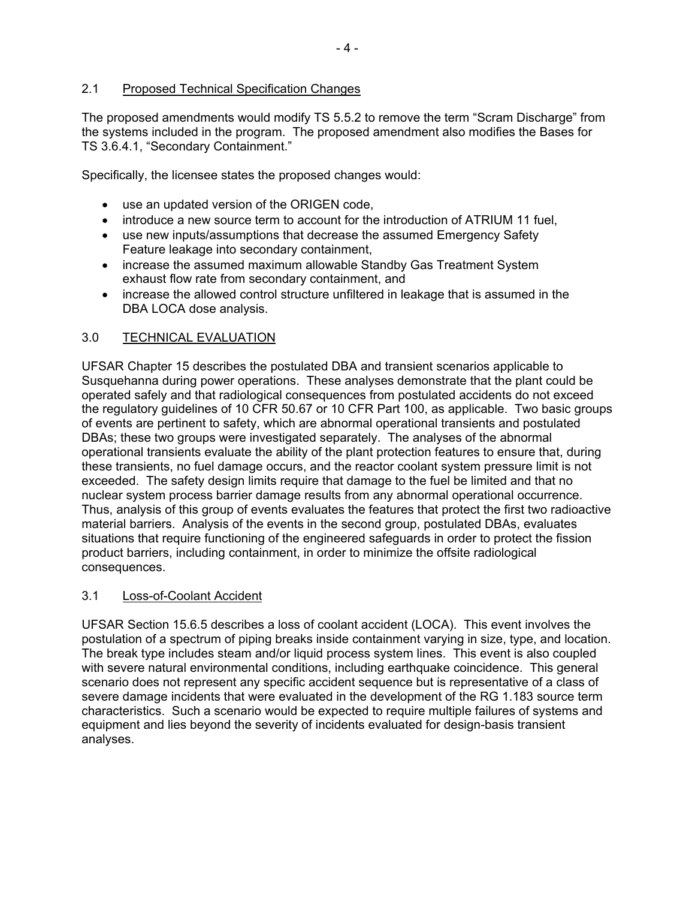## 2.1 Proposed Technical Specification Changes

The proposed amendments would modify TS 5.5.2 to remove the term "Scram Discharge" from the systems included in the program. The proposed amendment also modifies the Bases for TS 3.6.4.1, "Secondary Containment."

Specifically, the licensee states the proposed changes would:

- use an updated version of the ORIGEN code,
- introduce a new source term to account for the introduction of ATRIUM 11 fuel,
- use new inputs/assumptions that decrease the assumed Emergency Safety Feature leakage into secondary containment,
- increase the assumed maximum allowable Standby Gas Treatment System exhaust flow rate from secondary containment, and
- increase the allowed control structure unfiltered in leakage that is assumed in the DBA LOCA dose analysis.

#### 3.0 TECHNICAL EVALUATION

UFSAR Chapter 15 describes the postulated DBA and transient scenarios applicable to Susquehanna during power operations. These analyses demonstrate that the plant could be operated safely and that radiological consequences from postulated accidents do not exceed the regulatory guidelines of 10 CFR 50.67 or 10 CFR Part 100, as applicable. Two basic groups of events are pertinent to safety, which are abnormal operational transients and postulated DBAs; these two groups were investigated separately. The analyses of the abnormal operational transients evaluate the ability of the plant protection features to ensure that, during these transients, no fuel damage occurs, and the reactor coolant system pressure limit is not exceeded. The safety design limits require that damage to the fuel be limited and that no nuclear system process barrier damage results from any abnormal operational occurrence. Thus, analysis of this group of events evaluates the features that protect the first two radioactive material barriers. Analysis of the events in the second group, postulated DBAs, evaluates situations that require functioning of the engineered safeguards in order to protect the fission product barriers, including containment, in order to minimize the offsite radiological consequences.

#### 3.1 Loss-of-Coolant Accident

UFSAR Section 15.6.5 describes a loss of coolant accident (LOCA). This event involves the postulation of a spectrum of piping breaks inside containment varying in size, type, and location. The break type includes steam and/or liquid process system lines. This event is also coupled with severe natural environmental conditions, including earthquake coincidence. This general scenario does not represent any specific accident sequence but is representative of a class of severe damage incidents that were evaluated in the development of the RG 1.183 source term characteristics. Such a scenario would be expected to require multiple failures of systems and equipment and lies beyond the severity of incidents evaluated for design-basis transient analyses.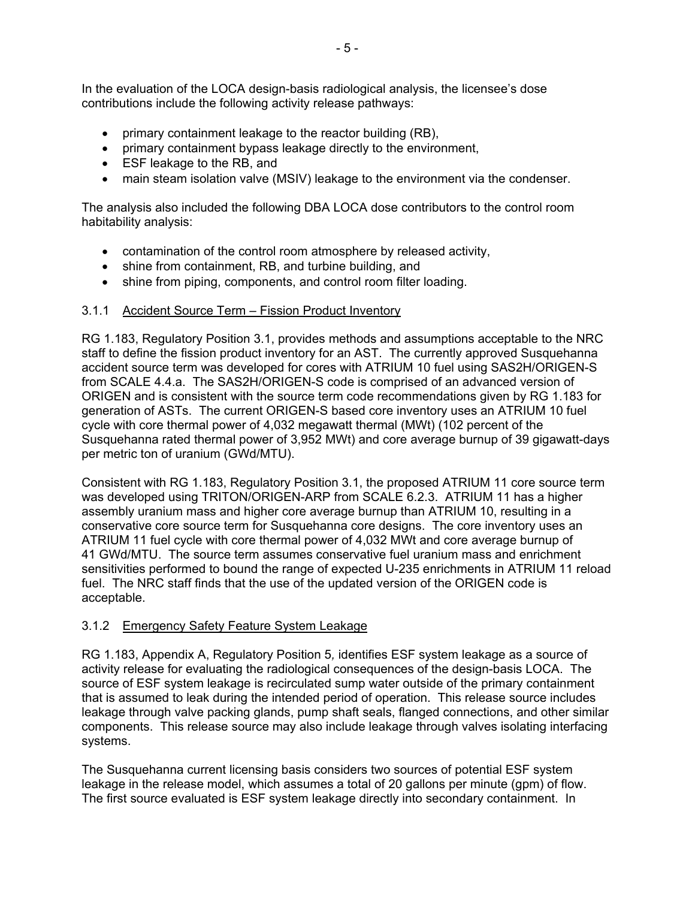In the evaluation of the LOCA design-basis radiological analysis, the licensee's dose contributions include the following activity release pathways:

- primary containment leakage to the reactor building (RB),
- primary containment bypass leakage directly to the environment,
- ESF leakage to the RB, and
- main steam isolation valve (MSIV) leakage to the environment via the condenser.

The analysis also included the following DBA LOCA dose contributors to the control room habitability analysis:

- contamination of the control room atmosphere by released activity,
- shine from containment, RB, and turbine building, and
- shine from piping, components, and control room filter loading.

#### 3.1.1 Accident Source Term – Fission Product Inventory

RG 1.183, Regulatory Position 3.1, provides methods and assumptions acceptable to the NRC staff to define the fission product inventory for an AST. The currently approved Susquehanna accident source term was developed for cores with ATRIUM 10 fuel using SAS2H/ORIGEN-S from SCALE 4.4.a. The SAS2H/ORIGEN-S code is comprised of an advanced version of ORIGEN and is consistent with the source term code recommendations given by RG 1.183 for generation of ASTs. The current ORIGEN-S based core inventory uses an ATRIUM 10 fuel cycle with core thermal power of 4,032 megawatt thermal (MWt) (102 percent of the Susquehanna rated thermal power of 3,952 MWt) and core average burnup of 39 gigawatt-days per metric ton of uranium (GWd/MTU).

Consistent with RG 1.183, Regulatory Position 3.1, the proposed ATRIUM 11 core source term was developed using TRITON/ORIGEN-ARP from SCALE 6.2.3. ATRIUM 11 has a higher assembly uranium mass and higher core average burnup than ATRIUM 10, resulting in a conservative core source term for Susquehanna core designs. The core inventory uses an ATRIUM 11 fuel cycle with core thermal power of 4,032 MWt and core average burnup of 41 GWd/MTU. The source term assumes conservative fuel uranium mass and enrichment sensitivities performed to bound the range of expected U-235 enrichments in ATRIUM 11 reload fuel. The NRC staff finds that the use of the updated version of the ORIGEN code is acceptable.

#### 3.1.2 Emergency Safety Feature System Leakage

RG 1.183, Appendix A, Regulatory Position 5*,* identifies ESF system leakage as a source of activity release for evaluating the radiological consequences of the design-basis LOCA. The source of ESF system leakage is recirculated sump water outside of the primary containment that is assumed to leak during the intended period of operation. This release source includes leakage through valve packing glands, pump shaft seals, flanged connections, and other similar components. This release source may also include leakage through valves isolating interfacing systems.

The Susquehanna current licensing basis considers two sources of potential ESF system leakage in the release model, which assumes a total of 20 gallons per minute (gpm) of flow. The first source evaluated is ESF system leakage directly into secondary containment. In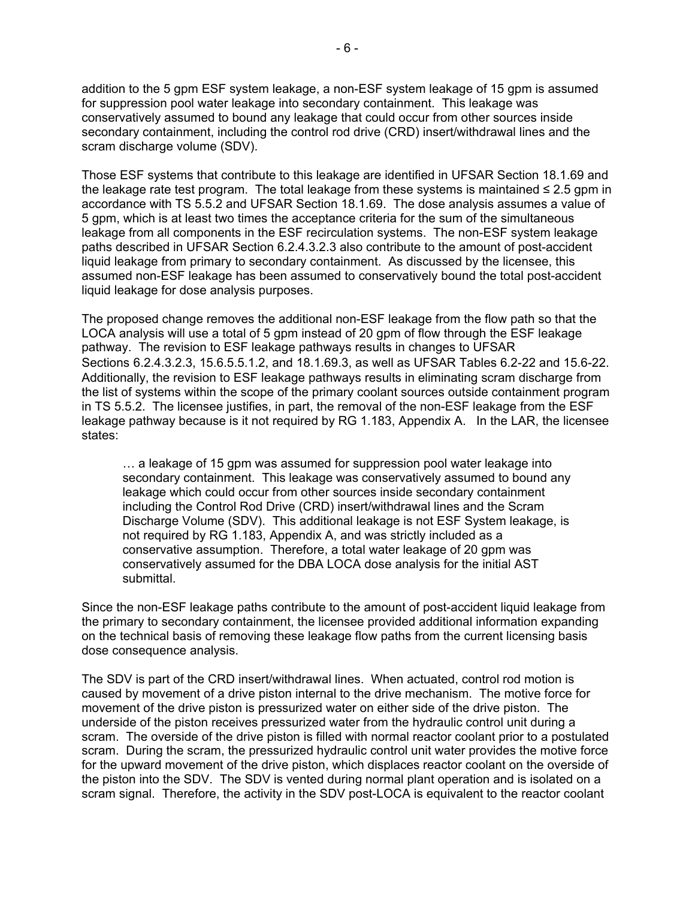addition to the 5 gpm ESF system leakage, a non-ESF system leakage of 15 gpm is assumed for suppression pool water leakage into secondary containment. This leakage was conservatively assumed to bound any leakage that could occur from other sources inside secondary containment, including the control rod drive (CRD) insert/withdrawal lines and the scram discharge volume (SDV).

Those ESF systems that contribute to this leakage are identified in UFSAR Section 18.1.69 and the leakage rate test program. The total leakage from these systems is maintained  $\leq 2.5$  gpm in accordance with TS 5.5.2 and UFSAR Section 18.1.69. The dose analysis assumes a value of 5 gpm, which is at least two times the acceptance criteria for the sum of the simultaneous leakage from all components in the ESF recirculation systems. The non-ESF system leakage paths described in UFSAR Section 6.2.4.3.2.3 also contribute to the amount of post-accident liquid leakage from primary to secondary containment. As discussed by the licensee, this assumed non-ESF leakage has been assumed to conservatively bound the total post-accident liquid leakage for dose analysis purposes.

The proposed change removes the additional non-ESF leakage from the flow path so that the LOCA analysis will use a total of 5 gpm instead of 20 gpm of flow through the ESF leakage pathway. The revision to ESF leakage pathways results in changes to UFSAR Sections 6.2.4.3.2.3, 15.6.5.5.1.2, and 18.1.69.3, as well as UFSAR Tables 6.2-22 and 15.6-22. Additionally, the revision to ESF leakage pathways results in eliminating scram discharge from the list of systems within the scope of the primary coolant sources outside containment program in TS 5.5.2. The licensee justifies, in part, the removal of the non-ESF leakage from the ESF leakage pathway because is it not required by RG 1.183, Appendix A. In the LAR, the licensee states:

… a leakage of 15 gpm was assumed for suppression pool water leakage into secondary containment. This leakage was conservatively assumed to bound any leakage which could occur from other sources inside secondary containment including the Control Rod Drive (CRD) insert/withdrawal lines and the Scram Discharge Volume (SDV). This additional leakage is not ESF System leakage, is not required by RG 1.183, Appendix A, and was strictly included as a conservative assumption. Therefore, a total water leakage of 20 gpm was conservatively assumed for the DBA LOCA dose analysis for the initial AST submittal.

Since the non-ESF leakage paths contribute to the amount of post-accident liquid leakage from the primary to secondary containment, the licensee provided additional information expanding on the technical basis of removing these leakage flow paths from the current licensing basis dose consequence analysis.

The SDV is part of the CRD insert/withdrawal lines. When actuated, control rod motion is caused by movement of a drive piston internal to the drive mechanism. The motive force for movement of the drive piston is pressurized water on either side of the drive piston. The underside of the piston receives pressurized water from the hydraulic control unit during a scram. The overside of the drive piston is filled with normal reactor coolant prior to a postulated scram. During the scram, the pressurized hydraulic control unit water provides the motive force for the upward movement of the drive piston, which displaces reactor coolant on the overside of the piston into the SDV. The SDV is vented during normal plant operation and is isolated on a scram signal. Therefore, the activity in the SDV post-LOCA is equivalent to the reactor coolant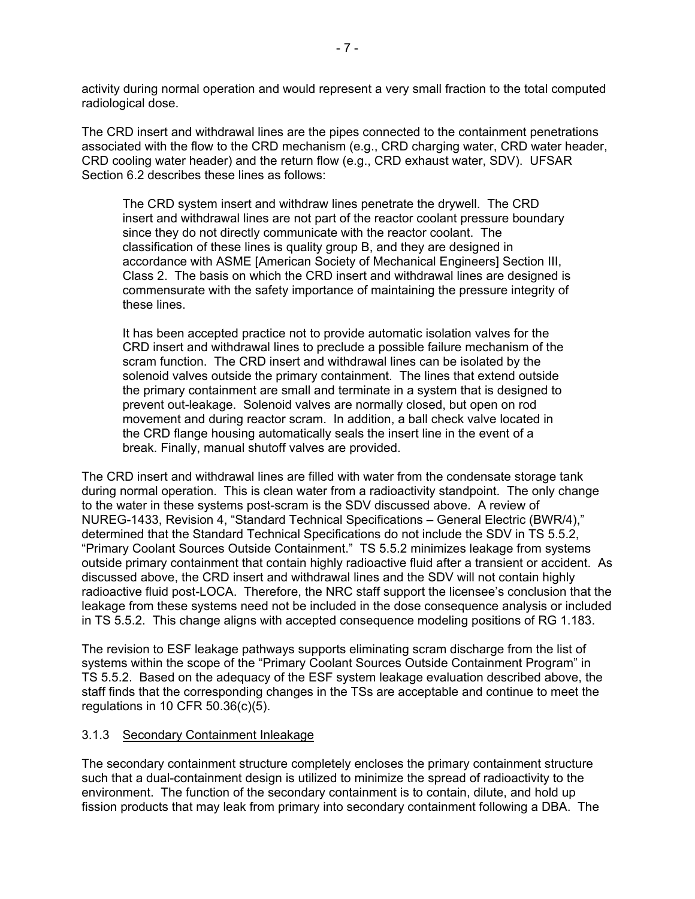activity during normal operation and would represent a very small fraction to the total computed radiological dose.

The CRD insert and withdrawal lines are the pipes connected to the containment penetrations associated with the flow to the CRD mechanism (e.g., CRD charging water, CRD water header, CRD cooling water header) and the return flow (e.g., CRD exhaust water, SDV). UFSAR Section 6.2 describes these lines as follows:

The CRD system insert and withdraw lines penetrate the drywell. The CRD insert and withdrawal lines are not part of the reactor coolant pressure boundary since they do not directly communicate with the reactor coolant. The classification of these lines is quality group B, and they are designed in accordance with ASME [American Society of Mechanical Engineers] Section III, Class 2. The basis on which the CRD insert and withdrawal lines are designed is commensurate with the safety importance of maintaining the pressure integrity of these lines.

It has been accepted practice not to provide automatic isolation valves for the CRD insert and withdrawal lines to preclude a possible failure mechanism of the scram function. The CRD insert and withdrawal lines can be isolated by the solenoid valves outside the primary containment. The lines that extend outside the primary containment are small and terminate in a system that is designed to prevent out-leakage. Solenoid valves are normally closed, but open on rod movement and during reactor scram. In addition, a ball check valve located in the CRD flange housing automatically seals the insert line in the event of a break. Finally, manual shutoff valves are provided.

The CRD insert and withdrawal lines are filled with water from the condensate storage tank during normal operation. This is clean water from a radioactivity standpoint. The only change to the water in these systems post-scram is the SDV discussed above. A review of NUREG-1433, Revision 4, "Standard Technical Specifications – General Electric (BWR/4)," determined that the Standard Technical Specifications do not include the SDV in TS 5.5.2, "Primary Coolant Sources Outside Containment." TS 5.5.2 minimizes leakage from systems outside primary containment that contain highly radioactive fluid after a transient or accident. As discussed above, the CRD insert and withdrawal lines and the SDV will not contain highly radioactive fluid post-LOCA. Therefore, the NRC staff support the licensee's conclusion that the leakage from these systems need not be included in the dose consequence analysis or included in TS 5.5.2. This change aligns with accepted consequence modeling positions of RG 1.183.

The revision to ESF leakage pathways supports eliminating scram discharge from the list of systems within the scope of the "Primary Coolant Sources Outside Containment Program" in TS 5.5.2. Based on the adequacy of the ESF system leakage evaluation described above, the staff finds that the corresponding changes in the TSs are acceptable and continue to meet the regulations in 10 CFR 50.36(c)(5).

#### 3.1.3 Secondary Containment Inleakage

The secondary containment structure completely encloses the primary containment structure such that a dual-containment design is utilized to minimize the spread of radioactivity to the environment. The function of the secondary containment is to contain, dilute, and hold up fission products that may leak from primary into secondary containment following a DBA. The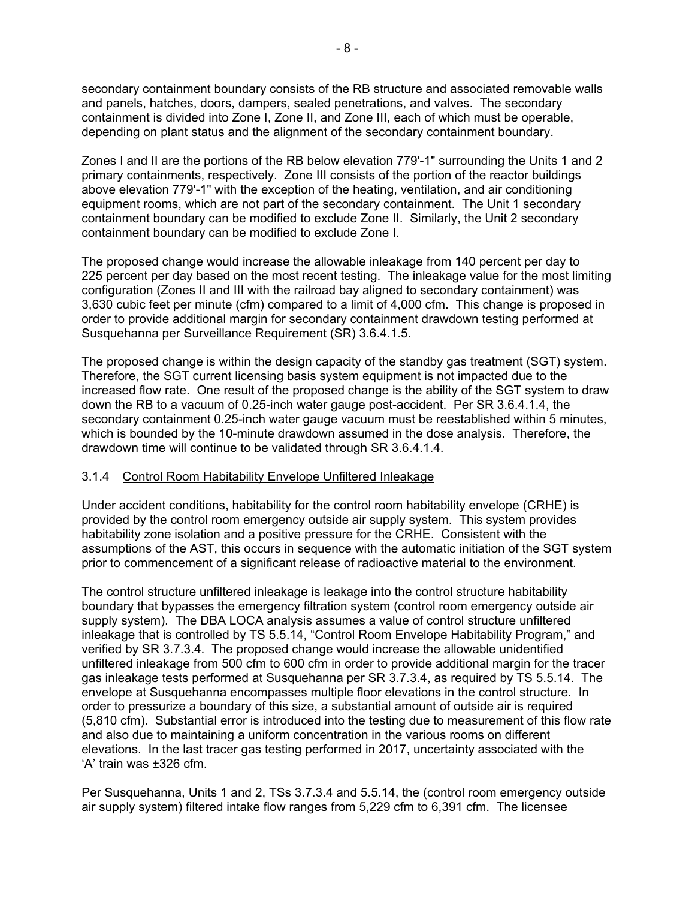secondary containment boundary consists of the RB structure and associated removable walls and panels, hatches, doors, dampers, sealed penetrations, and valves. The secondary containment is divided into Zone I, Zone II, and Zone III, each of which must be operable, depending on plant status and the alignment of the secondary containment boundary.

Zones I and II are the portions of the RB below elevation 779'-1" surrounding the Units 1 and 2 primary containments, respectively. Zone III consists of the portion of the reactor buildings above elevation 779'-1" with the exception of the heating, ventilation, and air conditioning equipment rooms, which are not part of the secondary containment. The Unit 1 secondary containment boundary can be modified to exclude Zone II. Similarly, the Unit 2 secondary containment boundary can be modified to exclude Zone I.

The proposed change would increase the allowable inleakage from 140 percent per day to 225 percent per day based on the most recent testing. The inleakage value for the most limiting configuration (Zones II and III with the railroad bay aligned to secondary containment) was 3,630 cubic feet per minute (cfm) compared to a limit of 4,000 cfm. This change is proposed in order to provide additional margin for secondary containment drawdown testing performed at Susquehanna per Surveillance Requirement (SR) 3.6.4.1.5.

The proposed change is within the design capacity of the standby gas treatment (SGT) system. Therefore, the SGT current licensing basis system equipment is not impacted due to the increased flow rate. One result of the proposed change is the ability of the SGT system to draw down the RB to a vacuum of 0.25-inch water gauge post-accident. Per SR 3.6.4.1.4, the secondary containment 0.25-inch water gauge vacuum must be reestablished within 5 minutes, which is bounded by the 10-minute drawdown assumed in the dose analysis. Therefore, the drawdown time will continue to be validated through SR 3.6.4.1.4.

#### 3.1.4 Control Room Habitability Envelope Unfiltered Inleakage

Under accident conditions, habitability for the control room habitability envelope (CRHE) is provided by the control room emergency outside air supply system. This system provides habitability zone isolation and a positive pressure for the CRHE. Consistent with the assumptions of the AST, this occurs in sequence with the automatic initiation of the SGT system prior to commencement of a significant release of radioactive material to the environment.

The control structure unfiltered inleakage is leakage into the control structure habitability boundary that bypasses the emergency filtration system (control room emergency outside air supply system). The DBA LOCA analysis assumes a value of control structure unfiltered inleakage that is controlled by TS 5.5.14, "Control Room Envelope Habitability Program," and verified by SR 3.7.3.4. The proposed change would increase the allowable unidentified unfiltered inleakage from 500 cfm to 600 cfm in order to provide additional margin for the tracer gas inleakage tests performed at Susquehanna per SR 3.7.3.4, as required by TS 5.5.14. The envelope at Susquehanna encompasses multiple floor elevations in the control structure. In order to pressurize a boundary of this size, a substantial amount of outside air is required (5,810 cfm). Substantial error is introduced into the testing due to measurement of this flow rate and also due to maintaining a uniform concentration in the various rooms on different elevations. In the last tracer gas testing performed in 2017, uncertainty associated with the 'A' train was ±326 cfm.

Per Susquehanna, Units 1 and 2, TSs 3.7.3.4 and 5.5.14, the (control room emergency outside air supply system) filtered intake flow ranges from 5,229 cfm to 6,391 cfm. The licensee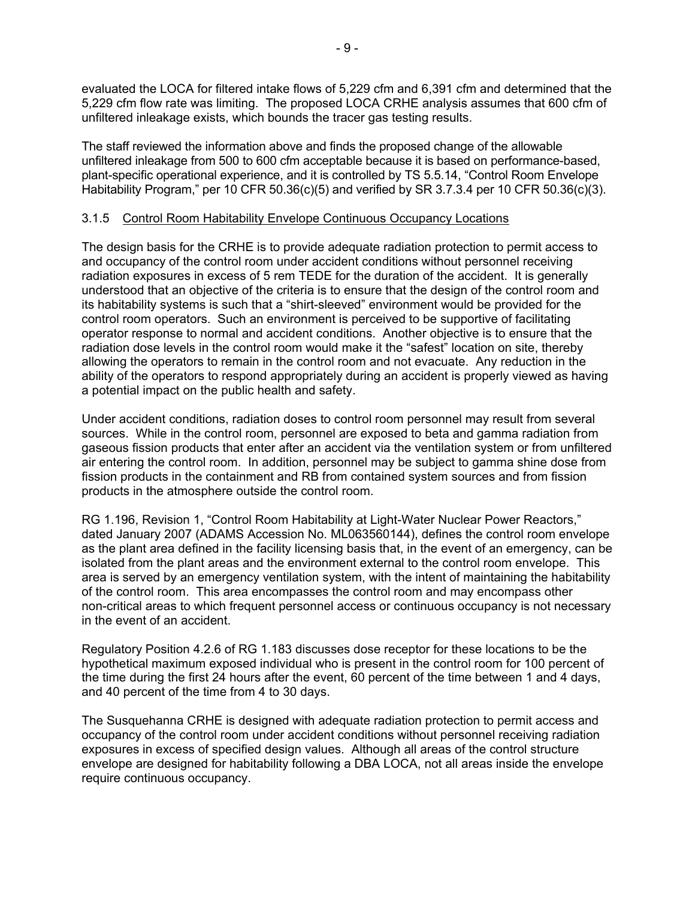evaluated the LOCA for filtered intake flows of 5,229 cfm and 6,391 cfm and determined that the 5,229 cfm flow rate was limiting. The proposed LOCA CRHE analysis assumes that 600 cfm of unfiltered inleakage exists, which bounds the tracer gas testing results.

The staff reviewed the information above and finds the proposed change of the allowable unfiltered inleakage from 500 to 600 cfm acceptable because it is based on performance-based, plant-specific operational experience, and it is controlled by TS 5.5.14, "Control Room Envelope Habitability Program," per 10 CFR 50.36(c)(5) and verified by SR 3.7.3.4 per 10 CFR 50.36(c)(3).

## 3.1.5 Control Room Habitability Envelope Continuous Occupancy Locations

The design basis for the CRHE is to provide adequate radiation protection to permit access to and occupancy of the control room under accident conditions without personnel receiving radiation exposures in excess of 5 rem TEDE for the duration of the accident. It is generally understood that an objective of the criteria is to ensure that the design of the control room and its habitability systems is such that a "shirt-sleeved" environment would be provided for the control room operators. Such an environment is perceived to be supportive of facilitating operator response to normal and accident conditions. Another objective is to ensure that the radiation dose levels in the control room would make it the "safest" location on site, thereby allowing the operators to remain in the control room and not evacuate. Any reduction in the ability of the operators to respond appropriately during an accident is properly viewed as having a potential impact on the public health and safety.

Under accident conditions, radiation doses to control room personnel may result from several sources. While in the control room, personnel are exposed to beta and gamma radiation from gaseous fission products that enter after an accident via the ventilation system or from unfiltered air entering the control room. In addition, personnel may be subject to gamma shine dose from fission products in the containment and RB from contained system sources and from fission products in the atmosphere outside the control room.

RG 1.196, Revision 1, "Control Room Habitability at Light-Water Nuclear Power Reactors," dated January 2007 (ADAMS Accession No. ML063560144), defines the control room envelope as the plant area defined in the facility licensing basis that, in the event of an emergency, can be isolated from the plant areas and the environment external to the control room envelope. This area is served by an emergency ventilation system, with the intent of maintaining the habitability of the control room. This area encompasses the control room and may encompass other non-critical areas to which frequent personnel access or continuous occupancy is not necessary in the event of an accident.

Regulatory Position 4.2.6 of RG 1.183 discusses dose receptor for these locations to be the hypothetical maximum exposed individual who is present in the control room for 100 percent of the time during the first 24 hours after the event, 60 percent of the time between 1 and 4 days, and 40 percent of the time from 4 to 30 days.

The Susquehanna CRHE is designed with adequate radiation protection to permit access and occupancy of the control room under accident conditions without personnel receiving radiation exposures in excess of specified design values. Although all areas of the control structure envelope are designed for habitability following a DBA LOCA, not all areas inside the envelope require continuous occupancy.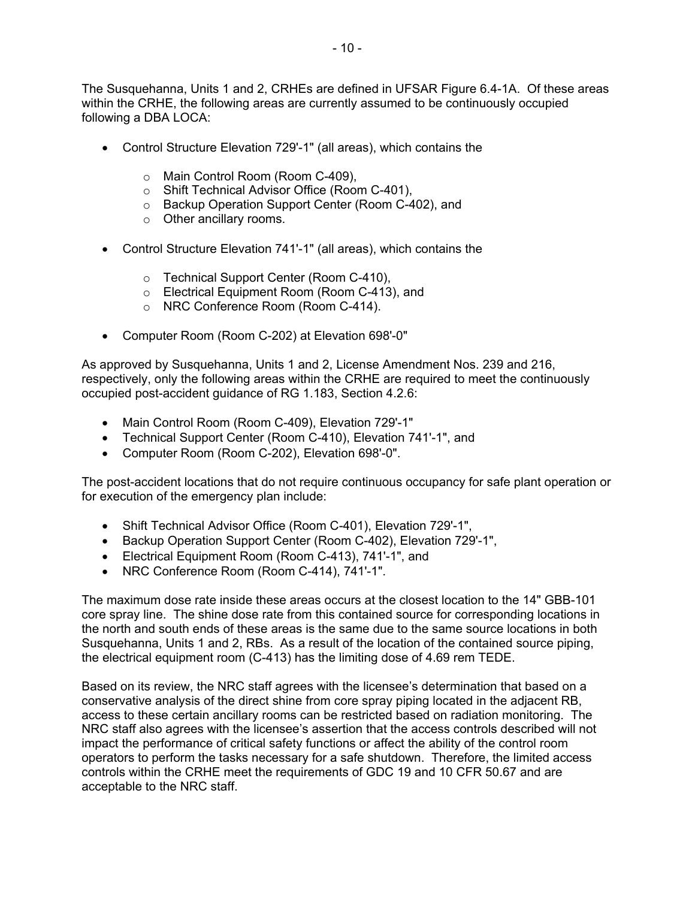The Susquehanna, Units 1 and 2, CRHEs are defined in UFSAR Figure 6.4-1A. Of these areas within the CRHE, the following areas are currently assumed to be continuously occupied following a DBA LOCA:

- Control Structure Elevation 729'-1" (all areas), which contains the
	- o Main Control Room (Room C-409),
	- o Shift Technical Advisor Office (Room C-401),
	- o Backup Operation Support Center (Room C-402), and
	- o Other ancillary rooms.
- Control Structure Elevation 741'-1" (all areas), which contains the
	- o Technical Support Center (Room C-410),
	- o Electrical Equipment Room (Room C-413), and
	- o NRC Conference Room (Room C-414).
- Computer Room (Room C-202) at Elevation 698'-0"

As approved by Susquehanna, Units 1 and 2, License Amendment Nos. 239 and 216, respectively, only the following areas within the CRHE are required to meet the continuously occupied post-accident guidance of RG 1.183, Section 4.2.6:

- Main Control Room (Room C-409), Elevation 729'-1"
- Technical Support Center (Room C-410), Elevation 741'-1", and
- Computer Room (Room C-202), Elevation 698'-0".

The post-accident locations that do not require continuous occupancy for safe plant operation or for execution of the emergency plan include:

- Shift Technical Advisor Office (Room C-401), Elevation 729'-1",
- Backup Operation Support Center (Room C-402), Elevation 729'-1",
- Electrical Equipment Room (Room C-413), 741'-1", and
- NRC Conference Room (Room C-414), 741'-1".

The maximum dose rate inside these areas occurs at the closest location to the 14" GBB-101 core spray line. The shine dose rate from this contained source for corresponding locations in the north and south ends of these areas is the same due to the same source locations in both Susquehanna, Units 1 and 2, RBs. As a result of the location of the contained source piping, the electrical equipment room (C-413) has the limiting dose of 4.69 rem TEDE.

Based on its review, the NRC staff agrees with the licensee's determination that based on a conservative analysis of the direct shine from core spray piping located in the adjacent RB, access to these certain ancillary rooms can be restricted based on radiation monitoring. The NRC staff also agrees with the licensee's assertion that the access controls described will not impact the performance of critical safety functions or affect the ability of the control room operators to perform the tasks necessary for a safe shutdown. Therefore, the limited access controls within the CRHE meet the requirements of GDC 19 and 10 CFR 50.67 and are acceptable to the NRC staff.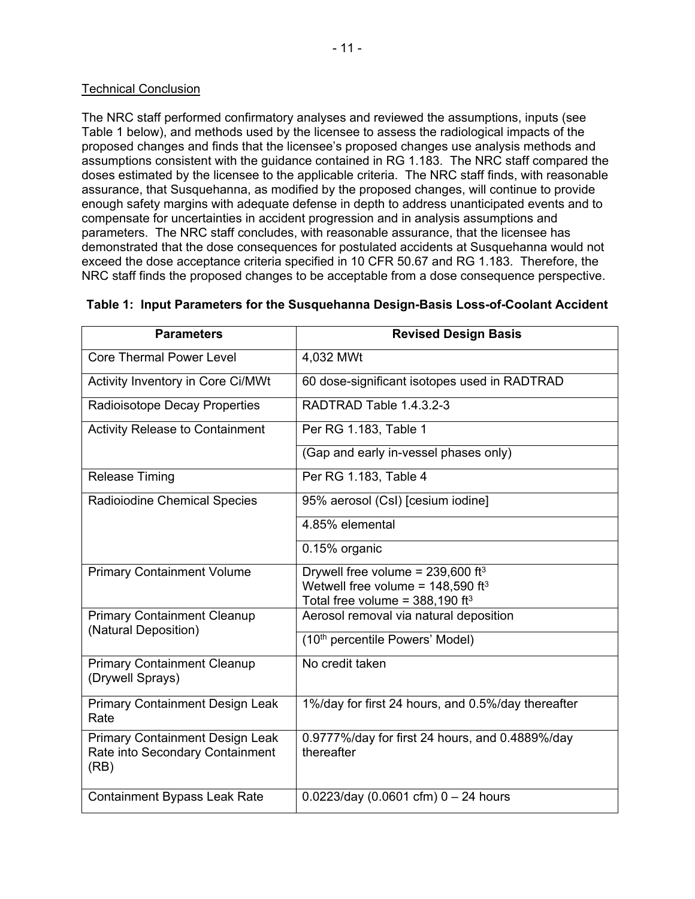#### Technical Conclusion

The NRC staff performed confirmatory analyses and reviewed the assumptions, inputs (see Table 1 below), and methods used by the licensee to assess the radiological impacts of the proposed changes and finds that the licensee's proposed changes use analysis methods and assumptions consistent with the guidance contained in RG 1.183. The NRC staff compared the doses estimated by the licensee to the applicable criteria. The NRC staff finds, with reasonable assurance, that Susquehanna, as modified by the proposed changes, will continue to provide enough safety margins with adequate defense in depth to address unanticipated events and to compensate for uncertainties in accident progression and in analysis assumptions and parameters. The NRC staff concludes, with reasonable assurance, that the licensee has demonstrated that the dose consequences for postulated accidents at Susquehanna would not exceed the dose acceptance criteria specified in 10 CFR 50.67 and RG 1.183. Therefore, the NRC staff finds the proposed changes to be acceptable from a dose consequence perspective.

| <b>Parameters</b>                                                                 | <b>Revised Design Basis</b>                                                                      |  |
|-----------------------------------------------------------------------------------|--------------------------------------------------------------------------------------------------|--|
| <b>Core Thermal Power Level</b>                                                   | 4,032 MWt                                                                                        |  |
| Activity Inventory in Core Ci/MWt                                                 | 60 dose-significant isotopes used in RADTRAD                                                     |  |
| Radioisotope Decay Properties                                                     | RADTRAD Table 1.4.3.2-3                                                                          |  |
| <b>Activity Release to Containment</b>                                            | Per RG 1.183, Table 1                                                                            |  |
|                                                                                   | (Gap and early in-vessel phases only)                                                            |  |
| <b>Release Timing</b>                                                             | Per RG 1.183, Table 4                                                                            |  |
| Radioiodine Chemical Species                                                      | 95% aerosol (CsI) [cesium iodine]                                                                |  |
|                                                                                   | 4.85% elemental                                                                                  |  |
|                                                                                   | 0.15% organic                                                                                    |  |
| <b>Primary Containment Volume</b>                                                 | Drywell free volume = $239,600$ ft <sup>3</sup>                                                  |  |
|                                                                                   | Wetwell free volume = $148,590$ ft <sup>3</sup><br>Total free volume = $388,190$ ft <sup>3</sup> |  |
| <b>Primary Containment Cleanup</b><br>(Natural Deposition)                        | Aerosol removal via natural deposition                                                           |  |
|                                                                                   | (10th percentile Powers' Model)                                                                  |  |
| <b>Primary Containment Cleanup</b><br>(Drywell Sprays)                            | No credit taken                                                                                  |  |
| <b>Primary Containment Design Leak</b><br>Rate                                    | 1%/day for first 24 hours, and 0.5%/day thereafter                                               |  |
| <b>Primary Containment Design Leak</b><br>Rate into Secondary Containment<br>(RB) | 0.9777%/day for first 24 hours, and 0.4889%/day<br>thereafter                                    |  |
| <b>Containment Bypass Leak Rate</b>                                               | $0.0223$ /day (0.0601 cfm) 0 - 24 hours                                                          |  |

#### **Table 1: Input Parameters for the Susquehanna Design-Basis Loss-of-Coolant Accident**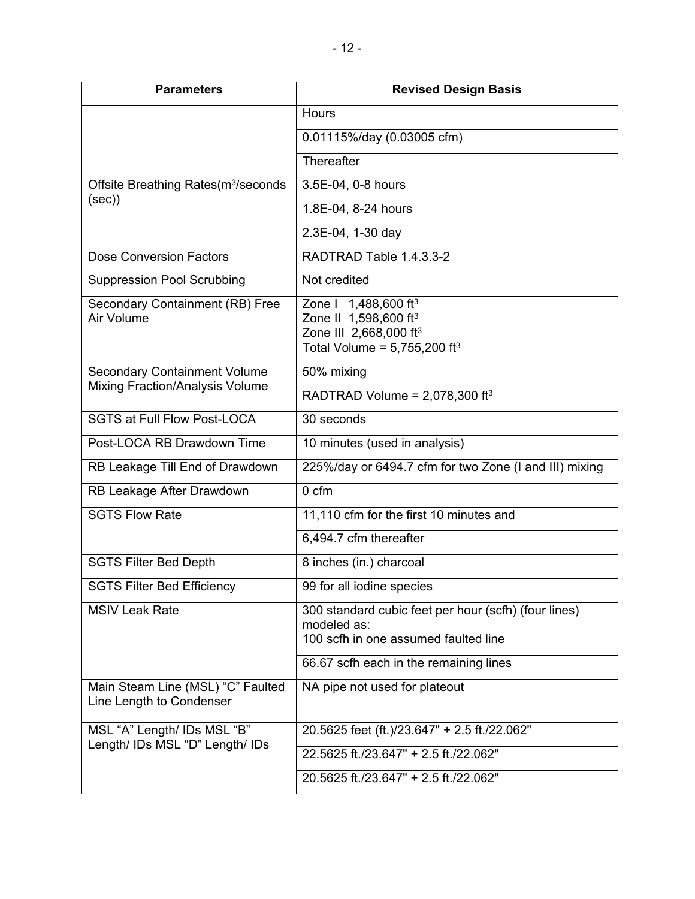| <b>Parameters</b>                                             | <b>Revised Design Basis</b>                                             |  |
|---------------------------------------------------------------|-------------------------------------------------------------------------|--|
|                                                               | <b>Hours</b>                                                            |  |
|                                                               | 0.01115%/day (0.03005 cfm)                                              |  |
|                                                               | Thereafter                                                              |  |
| Offsite Breathing Rates(m <sup>3</sup> /seconds               | 3.5E-04, 0-8 hours                                                      |  |
| (sec)                                                         | 1.8E-04, 8-24 hours                                                     |  |
|                                                               | 2.3E-04, 1-30 day                                                       |  |
| <b>Dose Conversion Factors</b>                                | RADTRAD Table 1.4.3.3-2                                                 |  |
| <b>Suppression Pool Scrubbing</b>                             | Not credited                                                            |  |
| Secondary Containment (RB) Free                               | Zone I 1,488,600 ft <sup>3</sup>                                        |  |
| Air Volume                                                    | Zone II 1,598,600 ft <sup>3</sup><br>Zone III 2,668,000 ft <sup>3</sup> |  |
|                                                               | Total Volume = $5,755,200$ ft <sup>3</sup>                              |  |
| <b>Secondary Containment Volume</b>                           | 50% mixing                                                              |  |
| <b>Mixing Fraction/Analysis Volume</b>                        | RADTRAD Volume = $2,078,300$ ft <sup>3</sup>                            |  |
| <b>SGTS at Full Flow Post-LOCA</b>                            | 30 seconds                                                              |  |
| Post-LOCA RB Drawdown Time                                    | 10 minutes (used in analysis)                                           |  |
| RB Leakage Till End of Drawdown                               | 225%/day or 6494.7 cfm for two Zone (I and III) mixing                  |  |
| RB Leakage After Drawdown                                     | 0 <sub>cm</sub>                                                         |  |
| <b>SGTS Flow Rate</b>                                         | 11,110 cfm for the first 10 minutes and                                 |  |
|                                                               | 6,494.7 cfm thereafter                                                  |  |
| <b>SGTS Filter Bed Depth</b>                                  | 8 inches (in.) charcoal                                                 |  |
| <b>SGTS Filter Bed Efficiencv</b>                             | 99 for all iodine species                                               |  |
| <b>MSIV Leak Rate</b>                                         | 300 standard cubic feet per hour (scfh) (four lines)<br>modeled as:     |  |
|                                                               | 100 scfh in one assumed faulted line                                    |  |
|                                                               | 66.67 scfh each in the remaining lines                                  |  |
| Main Steam Line (MSL) "C" Faulted<br>Line Length to Condenser | NA pipe not used for plateout                                           |  |
| MSL "A" Length/ IDs MSL "B"                                   | 20.5625 feet (ft.)/23.647" + 2.5 ft./22.062"                            |  |
| Length/ IDs MSL "D" Length/ IDs                               | 22.5625 ft./23.647" + 2.5 ft./22.062"                                   |  |
|                                                               | 20.5625 ft./23.647" + 2.5 ft./22.062"                                   |  |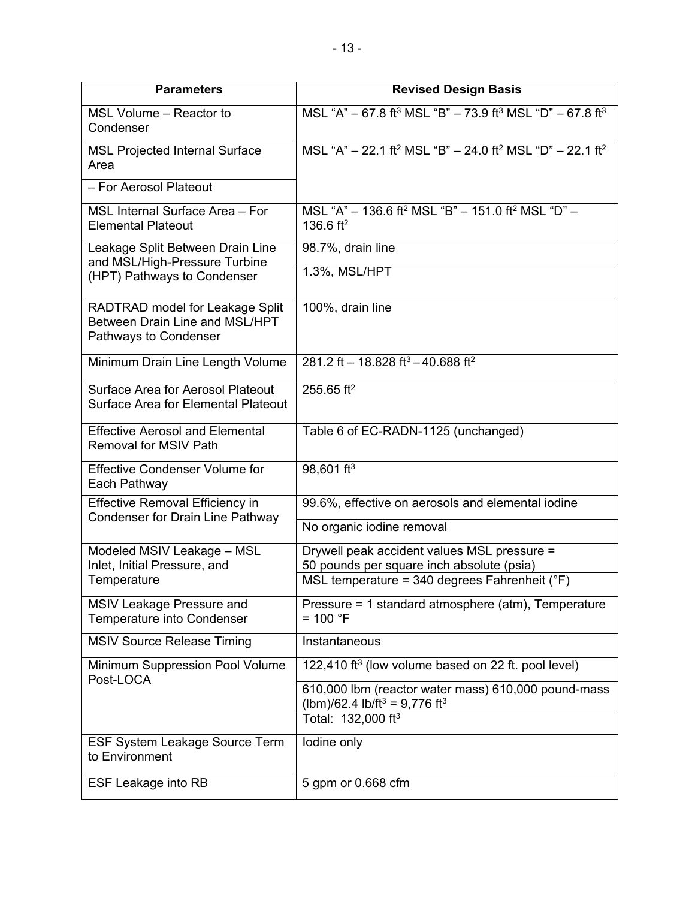| <b>Parameters</b>                                                                          | <b>Revised Design Basis</b>                                                                                  |  |
|--------------------------------------------------------------------------------------------|--------------------------------------------------------------------------------------------------------------|--|
| MSL Volume - Reactor to<br>Condenser                                                       | MSL "A" - 67.8 ft <sup>3</sup> MSL "B" - 73.9 ft <sup>3</sup> MSL "D" - 67.8 ft <sup>3</sup>                 |  |
| <b>MSL Projected Internal Surface</b><br>Area                                              | MSL "A" - 22.1 ft <sup>2</sup> MSL "B" - 24.0 ft <sup>2</sup> MSL "D" - 22.1 ft <sup>2</sup>                 |  |
| - For Aerosol Plateout                                                                     |                                                                                                              |  |
| MSL Internal Surface Area - For<br><b>Elemental Plateout</b>                               | MSL "A" - 136.6 ft <sup>2</sup> MSL "B" - 151.0 ft <sup>2</sup> MSL "D" -<br>136.6 ft <sup>2</sup>           |  |
| Leakage Split Between Drain Line<br>and MSL/High-Pressure Turbine                          | 98.7%, drain line                                                                                            |  |
| (HPT) Pathways to Condenser                                                                | 1.3%, MSL/HPT                                                                                                |  |
| RADTRAD model for Leakage Split<br>Between Drain Line and MSL/HPT<br>Pathways to Condenser | 100%, drain line                                                                                             |  |
| Minimum Drain Line Length Volume                                                           | 281.2 ft - 18.828 ft <sup>3</sup> - 40.688 ft <sup>2</sup>                                                   |  |
| Surface Area for Aerosol Plateout<br><b>Surface Area for Elemental Plateout</b>            | 255.65 ft <sup>2</sup>                                                                                       |  |
| <b>Effective Aerosol and Elemental</b><br><b>Removal for MSIV Path</b>                     | Table 6 of EC-RADN-1125 (unchanged)                                                                          |  |
| <b>Effective Condenser Volume for</b><br>Each Pathway                                      | 98,601 ft <sup>3</sup>                                                                                       |  |
| <b>Effective Removal Efficiency in</b><br><b>Condenser for Drain Line Pathway</b>          | 99.6%, effective on aerosols and elemental iodine                                                            |  |
|                                                                                            | No organic iodine removal                                                                                    |  |
| Modeled MSIV Leakage - MSL<br>Inlet, Initial Pressure, and                                 | Drywell peak accident values MSL pressure =<br>50 pounds per square inch absolute (psia)                     |  |
| Temperature                                                                                | MSL temperature = 340 degrees Fahrenheit ( ${}^{\circ}$ F)                                                   |  |
| MSIV Leakage Pressure and<br><b>Temperature into Condenser</b>                             | Pressure = 1 standard atmosphere (atm), Temperature<br>$= 100 °F$                                            |  |
| <b>MSIV Source Release Timing</b>                                                          | Instantaneous                                                                                                |  |
| Minimum Suppression Pool Volume<br>Post-LOCA                                               | 122,410 ft <sup>3</sup> (low volume based on 22 ft. pool level)                                              |  |
|                                                                                            | 610,000 lbm (reactor water mass) 610,000 pound-mass<br>(lbm)/62.4 lb/ft <sup>3</sup> = 9,776 ft <sup>3</sup> |  |
|                                                                                            | Total: 132,000 ft <sup>3</sup>                                                                               |  |
| <b>ESF System Leakage Source Term</b><br>to Environment                                    | lodine only                                                                                                  |  |
| <b>ESF Leakage into RB</b>                                                                 | 5 gpm or 0.668 cfm                                                                                           |  |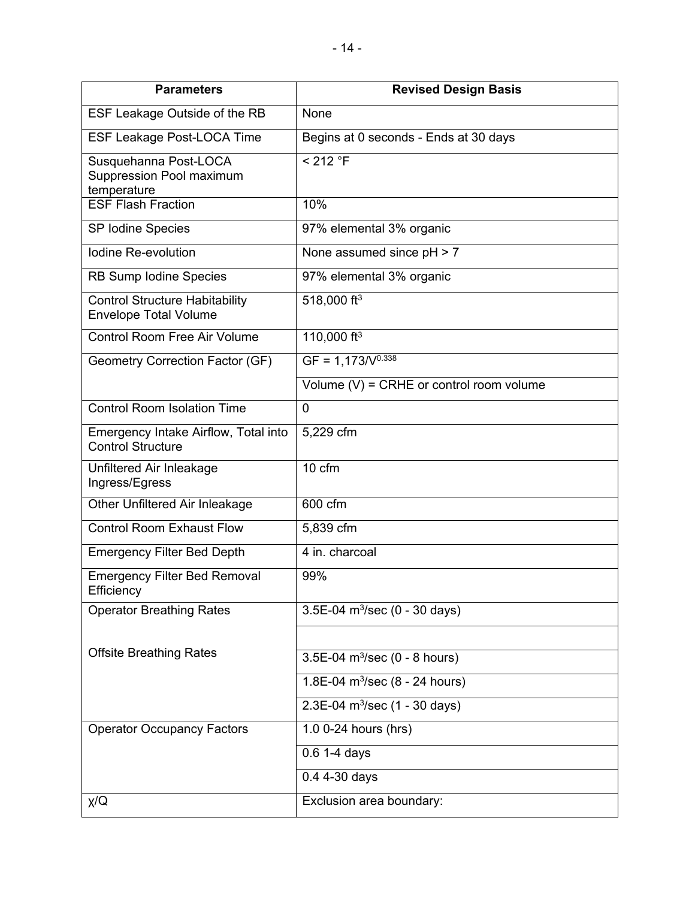| <b>Parameters</b>                                                     | <b>Revised Design Basis</b>                 |
|-----------------------------------------------------------------------|---------------------------------------------|
| ESF Leakage Outside of the RB                                         | None                                        |
| <b>ESF Leakage Post-LOCA Time</b>                                     | Begins at 0 seconds - Ends at 30 days       |
| Susquehanna Post-LOCA<br>Suppression Pool maximum<br>temperature      | < 212 °F                                    |
| <b>ESF Flash Fraction</b>                                             | 10%                                         |
| SP Iodine Species                                                     | 97% elemental 3% organic                    |
| Iodine Re-evolution                                                   | None assumed since pH > 7                   |
| RB Sump Iodine Species                                                | 97% elemental 3% organic                    |
| <b>Control Structure Habitability</b><br><b>Envelope Total Volume</b> | 518,000 ft <sup>3</sup>                     |
| <b>Control Room Free Air Volume</b>                                   | 110,000 ft <sup>3</sup>                     |
| Geometry Correction Factor (GF)                                       | $GF = 1,173/V0.338$                         |
|                                                                       | Volume $(V)$ = CRHE or control room volume  |
| <b>Control Room Isolation Time</b>                                    | 0                                           |
| Emergency Intake Airflow, Total into<br><b>Control Structure</b>      | 5,229 cfm                                   |
| Unfiltered Air Inleakage<br>Ingress/Egress                            | 10 cfm                                      |
| Other Unfiltered Air Inleakage                                        | 600 cfm                                     |
| <b>Control Room Exhaust Flow</b>                                      | 5,839 cfm                                   |
| <b>Emergency Filter Bed Depth</b>                                     | 4 in. charcoal                              |
| <b>Emergency Filter Bed Removal</b><br>Efficiency                     | 99%                                         |
| <b>Operator Breathing Rates</b>                                       | $3.5E-04$ m <sup>3</sup> /sec (0 - 30 days) |
|                                                                       |                                             |
| <b>Offsite Breathing Rates</b>                                        | 3.5E-04 $m^3$ /sec (0 - 8 hours)            |
|                                                                       | 1.8E-04 $m^3$ /sec (8 - 24 hours)           |
|                                                                       | $2.3E-04$ m <sup>3</sup> /sec (1 - 30 days) |
| <b>Operator Occupancy Factors</b>                                     | 1.0 0-24 hours (hrs)                        |
|                                                                       | $0.6$ 1-4 days                              |
|                                                                       | 0.4 4-30 days                               |
| χ/Q                                                                   | Exclusion area boundary:                    |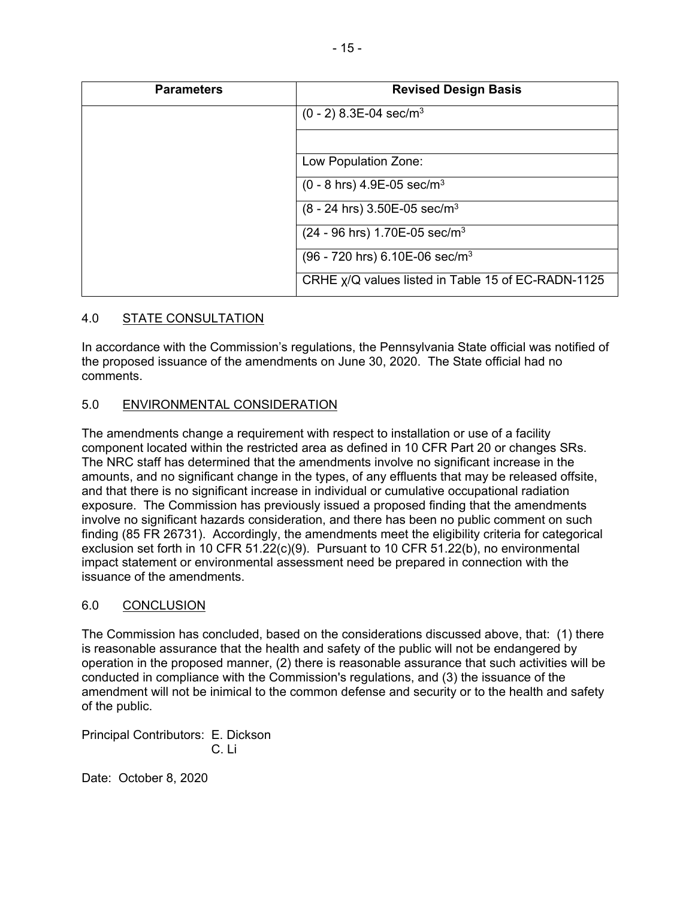| <b>Parameters</b> | <b>Revised Design Basis</b>                              |  |  |
|-------------------|----------------------------------------------------------|--|--|
|                   | $(0 - 2)$ 8.3E-04 sec/m <sup>3</sup>                     |  |  |
|                   |                                                          |  |  |
|                   | Low Population Zone:                                     |  |  |
|                   | $(0 - 8)$ hrs) 4.9E-05 sec/m <sup>3</sup>                |  |  |
|                   | $(8 - 24$ hrs) 3.50E-05 sec/m <sup>3</sup>               |  |  |
|                   | $(24 - 96$ hrs) 1.70E-05 sec/m <sup>3</sup>              |  |  |
|                   | $(96 - 720$ hrs) 6.10E-06 sec/m <sup>3</sup>             |  |  |
|                   | CRHE $\chi$ /Q values listed in Table 15 of EC-RADN-1125 |  |  |

## 4.0 STATE CONSULTATION

In accordance with the Commission's regulations, the Pennsylvania State official was notified of the proposed issuance of the amendments on June 30, 2020. The State official had no comments.

## 5.0 ENVIRONMENTAL CONSIDERATION

The amendments change a requirement with respect to installation or use of a facility component located within the restricted area as defined in 10 CFR Part 20 or changes SRs. The NRC staff has determined that the amendments involve no significant increase in the amounts, and no significant change in the types, of any effluents that may be released offsite, and that there is no significant increase in individual or cumulative occupational radiation exposure. The Commission has previously issued a proposed finding that the amendments involve no significant hazards consideration, and there has been no public comment on such finding (85 FR 26731). Accordingly, the amendments meet the eligibility criteria for categorical exclusion set forth in 10 CFR 51.22(c)(9). Pursuant to 10 CFR 51.22(b), no environmental impact statement or environmental assessment need be prepared in connection with the issuance of the amendments.

#### 6.0 CONCLUSION

The Commission has concluded, based on the considerations discussed above, that: (1) there is reasonable assurance that the health and safety of the public will not be endangered by operation in the proposed manner, (2) there is reasonable assurance that such activities will be conducted in compliance with the Commission's regulations, and (3) the issuance of the amendment will not be inimical to the common defense and security or to the health and safety of the public.

Principal Contributors: E. Dickson C. Li

Date: October 8, 2020